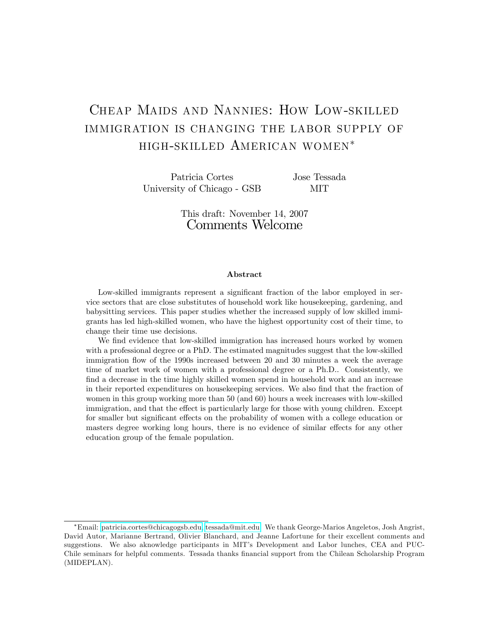# Cheap Maids and Nannies: How Low-skilled immigration is changing the labor supply of high-skilled American women

Patricia Cortes University of Chicago - GSB

Jose Tessada MIT

This draft: November 14, 2007 Comments Welcome

#### Abstract

Low-skilled immigrants represent a significant fraction of the labor employed in service sectors that are close substitutes of household work like housekeeping, gardening, and babysitting services. This paper studies whether the increased supply of low skilled immigrants has led high-skilled women, who have the highest opportunity cost of their time, to change their time use decisions.

We find evidence that low-skilled immigration has increased hours worked by women with a professional degree or a PhD. The estimated magnitudes suggest that the low-skilled immigration flow of the 1990s increased between 20 and 30 minutes a week the average time of market work of women with a professional degree or a Ph.D.. Consistently, we find a decrease in the time highly skilled women spend in household work and an increase in their reported expenditures on housekeeping services. We also find that the fraction of women in this group working more than 50 (and 60) hours a week increases with low-skilled immigration, and that the effect is particularly large for those with young children. Except for smaller but significant effects on the probability of women with a college education or masters degree working long hours, there is no evidence of similar effects for any other education group of the female population.

Email: [patricia.cortes@chicagogsb.edu,](mailto:patricia.cortes@chicagogsb.edu) [tessada@mit.edu.](mailto:tessada@mit.edu) We thank George-Marios Angeletos, Josh Angrist, David Autor, Marianne Bertrand, Olivier Blanchard, and Jeanne Lafortune for their excellent comments and suggestions. We also aknowledge participants in MIT's Development and Labor lunches, CEA and PUC-Chile seminars for helpful comments. Tessada thanks Önancial support from the Chilean Scholarship Program (MIDEPLAN).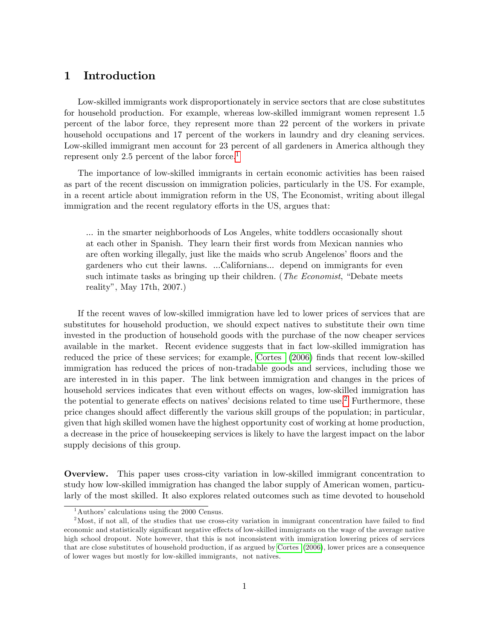## 1 Introduction

Low-skilled immigrants work disproportionately in service sectors that are close substitutes for household production. For example, whereas low-skilled immigrant women represent 1.5 percent of the labor force, they represent more than 22 percent of the workers in private household occupations and 17 percent of the workers in laundry and dry cleaning services. Low-skilled immigrant men account for 23 percent of all gardeners in America although they represent only 2.5 percent of the labor force.<sup>[1](#page-1-0)</sup>

The importance of low-skilled immigrants in certain economic activities has been raised as part of the recent discussion on immigration policies, particularly in the US. For example, in a recent article about immigration reform in the US, The Economist, writing about illegal immigration and the recent regulatory efforts in the US, argues that:

... in the smarter neighborhoods of Los Angeles, white toddlers occasionally shout at each other in Spanish. They learn their Örst words from Mexican nannies who are often working illegally, just like the maids who scrub Angelenos' floors and the gardeners who cut their lawns. ...Californians... depend on immigrants for even such intimate tasks as bringing up their children. (The Economist, "Debate meets") realityî, May 17th, 2007.)

If the recent waves of low-skilled immigration have led to lower prices of services that are substitutes for household production, we should expect natives to substitute their own time invested in the production of household goods with the purchase of the now cheaper services available in the market. Recent evidence suggests that in fact low-skilled immigration has reduced the price of these services; for example, [Cortes](#page-22-0) [\(2006\)](#page-22-0) finds that recent low-skilled immigration has reduced the prices of non-tradable goods and services, including those we are interested in in this paper. The link between immigration and changes in the prices of household services indicates that even without effects on wages, low-skilled immigration has the potential to generate effects on natives' decisions related to time use.<sup>[2](#page-1-1)</sup> Furthermore, these price changes should affect differently the various skill groups of the population; in particular, given that high skilled women have the highest opportunity cost of working at home production, a decrease in the price of housekeeping services is likely to have the largest impact on the labor supply decisions of this group.

Overview. This paper uses cross-city variation in low-skilled immigrant concentration to study how low-skilled immigration has changed the labor supply of American women, particularly of the most skilled. It also explores related outcomes such as time devoted to household

<span id="page-1-1"></span><span id="page-1-0"></span> $1$ Authors' calculations using the 2000 Census.

<sup>&</sup>lt;sup>2</sup>Most, if not all, of the studies that use cross-city variation in immigrant concentration have failed to find economic and statistically significant negative effects of low-skilled immigrants on the wage of the average native high school dropout. Note however, that this is not inconsistent with immigration lowering prices of services that are close substitutes of household production, if as argued by [Cortes](#page-22-0) [\(2006\)](#page-22-0), lower prices are a consequence of lower wages but mostly for low-skilled immigrants, not natives.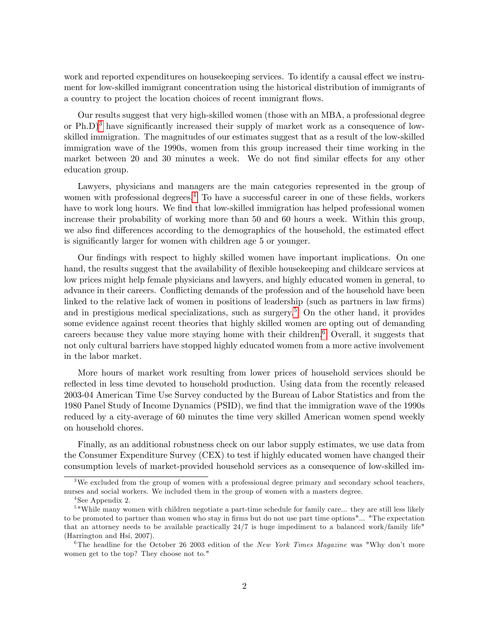work and reported expenditures on house keeping services. To identify a causal effect we instrument for low-skilled immigrant concentration using the historical distribution of immigrants of a country to project the location choices of recent immigrant flows.

Our results suggest that very high-skilled women (those with an MBA, a professional degree or  $Ph.D$ <sup>[3](#page-2-0)</sup> have significantly increased their supply of market work as a consequence of lowskilled immigration. The magnitudes of our estimates suggest that as a result of the low-skilled immigration wave of the 1990s, women from this group increased their time working in the market between 20 and 30 minutes a week. We do not find similar effects for any other education group.

Lawyers, physicians and managers are the main categories represented in the group of women with professional degrees.<sup>[4](#page-2-1)</sup> To have a successful career in one of these fields, workers have to work long hours. We find that low-skilled immigration has helped professional women increase their probability of working more than 50 and 60 hours a week. Within this group, we also find differences according to the demographics of the household, the estimated effect is significantly larger for women with children age 5 or younger.

Our findings with respect to highly skilled women have important implications. On one hand, the results suggest that the availability of flexible house keeping and childcare services at low prices might help female physicians and lawyers, and highly educated women in general, to advance in their careers. Conflicting demands of the profession and of the household have been linked to the relative lack of women in positions of leadership (such as partners in law firms) and in prestigious medical specializations, such as surgery.<sup>[5](#page-2-2)</sup> On the other hand, it provides some evidence against recent theories that highly skilled women are opting out of demanding careers because they value more staying home with their children.<sup>[6](#page-2-3)</sup> Overall, it suggests that not only cultural barriers have stopped highly educated women from a more active involvement in the labor market.

More hours of market work resulting from lower prices of household services should be reflected in less time devoted to household production. Using data from the recently released 2003-04 American Time Use Survey conducted by the Bureau of Labor Statistics and from the 1980 Panel Study of Income Dynamics (PSID), we find that the immigration wave of the 1990s reduced by a city-average of 60 minutes the time very skilled American women spend weekly on household chores.

Finally, as an additional robustness check on our labor supply estimates, we use data from the Consumer Expenditure Survey (CEX) to test if highly educated women have changed their consumption levels of market-provided household services as a consequence of low-skilled im-

<span id="page-2-0"></span><sup>&</sup>lt;sup>3</sup>We excluded from the group of women with a professional degree primary and secondary school teachers, nurses and social workers. We included them in the group of women with a masters degree.

<span id="page-2-2"></span><span id="page-2-1"></span><sup>4</sup> See Appendix 2.

<sup>&</sup>lt;sup>5</sup> "While many women with children negotiate a part-time schedule for family care... they are still less likely to be promoted to partner than women who stay in firms but do not use part time options"... "The expectation that an attorney needs to be available practically 24/7 is huge impediment to a balanced work/family life" (Harrington and Hsi, 2007).

<span id="page-2-3"></span><sup>&</sup>lt;sup>6</sup>The headline for the October 26 2003 edition of the New York Times Magazine was "Why don't more women get to the top? They choose not to."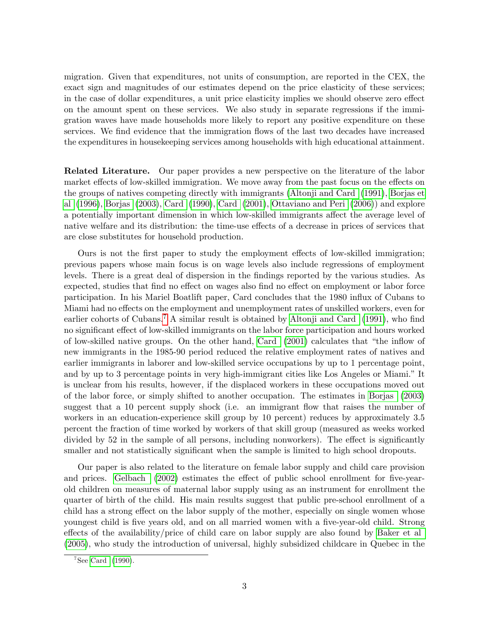migration. Given that expenditures, not units of consumption, are reported in the CEX, the exact sign and magnitudes of our estimates depend on the price elasticity of these services; in the case of dollar expenditures, a unit price elasticity implies we should observe zero effect on the amount spent on these services. We also study in separate regressions if the immigration waves have made households more likely to report any positive expenditure on these services. We find evidence that the immigration flows of the last two decades have increased the expenditures in housekeeping services among households with high educational attainment.

Related Literature. Our paper provides a new perspective on the literature of the labor market effects of low-skilled immigration. We move away from the past focus on the effects on the groups of natives competing directly with immigrants [\(Altonji and Card](#page-22-1) [\(1991\)](#page-22-1), [Borjas et](#page-22-2) [al](#page-22-2) [\(1996\)](#page-22-2), [Borjas](#page-22-3) [\(2003\)](#page-22-3), [Card](#page-22-4) [\(1990\)](#page-22-4), [Card](#page-22-5) [\(2001\)](#page-22-5), [Ottaviano and Peri](#page-23-0) [\(2006\)](#page-23-0)) and explore a potentially important dimension in which low-skilled immigrants affect the average level of native welfare and its distribution: the time-use effects of a decrease in prices of services that are close substitutes for household production.

Ours is not the first paper to study the employment effects of low-skilled immigration; previous papers whose main focus is on wage levels also include regressions of employment levels. There is a great deal of dispersion in the Öndings reported by the various studies. As expected, studies that find no effect on wages also find no effect on employment or labor force participation. In his Mariel Boatlift paper, Card concludes that the 1980 influx of Cubans to Miami had no effects on the employment and unemployment rates of unskilled workers, even for earlier cohorts of Cubans.<sup>[7](#page-3-0)</sup> A similar result is obtained by [Altonji and Card](#page-22-1)  $(1991)$ , who find no significant effect of low-skilled immigrants on the labor force participation and hours worked of low-skilled native groups. On the other hand, [Card](#page-22-5)  $(2001)$  calculates that "the inflow of new immigrants in the 1985-90 period reduced the relative employment rates of natives and earlier immigrants in laborer and low-skilled service occupations by up to 1 percentage point, and by up to 3 percentage points in very high-immigrant cities like Los Angeles or Miami." It is unclear from his results, however, if the displaced workers in these occupations moved out of the labor force, or simply shifted to another occupation. The estimates in [Borjas](#page-22-3) [\(2003\)](#page-22-3) suggest that a 10 percent supply shock (i.e. an immigrant flow that raises the number of workers in an education-experience skill group by 10 percent) reduces by approximately 3.5 percent the fraction of time worked by workers of that skill group (measured as weeks worked divided by 52 in the sample of all persons, including nonworkers). The effect is significantly smaller and not statistically significant when the sample is limited to high school dropouts.

Our paper is also related to the literature on female labor supply and child care provision and prices. [Gelbach](#page-22-6)  $(2002)$  estimates the effect of public school enrollment for five-yearold children on measures of maternal labor supply using as an instrument for enrollment the quarter of birth of the child. His main results suggest that public pre-school enrollment of a child has a strong effect on the labor supply of the mother, especially on single women whose youngest child is Öve years old, and on all married women with a Öve-year-old child. Strong effects of the availability/price of child care on labor supply are also found by [Baker et al](#page-22-7) [\(2005\)](#page-22-7), who study the introduction of universal, highly subsidized childcare in Quebec in the

<span id="page-3-0"></span> $7$ See [Card](#page-22-4) [\(1990\)](#page-22-4).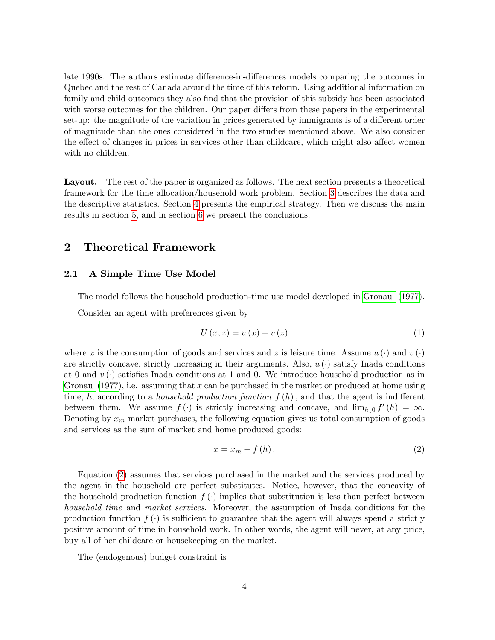late 1990s. The authors estimate difference-in-differences models comparing the outcomes in Quebec and the rest of Canada around the time of this reform. Using additional information on family and child outcomes they also find that the provision of this subsidy has been associated with worse outcomes for the children. Our paper differs from these papers in the experimental set-up: the magnitude of the variation in prices generated by immigrants is of a different order of magnitude than the ones considered in the two studies mentioned above. We also consider the effect of changes in prices in services other than childcare, which might also affect women with no children.

Layout. The rest of the paper is organized as follows. The next section presents a theoretical framework for the time allocation/household work problem. Section [3](#page-10-0) describes the data and the descriptive statistics. Section [4](#page-12-0) presents the empirical strategy. Then we discuss the main results in section [5,](#page-16-0) and in section [6](#page-20-0) we present the conclusions.

## <span id="page-4-2"></span>2 Theoretical Framework

#### 2.1 A Simple Time Use Model

The model follows the household production-time use model developed in [Gronau](#page-22-8) [\(1977\)](#page-22-8).

Consider an agent with preferences given by

<span id="page-4-1"></span>
$$
U(x, z) = u(x) + v(z)
$$
\n<sup>(1)</sup>

where x is the consumption of goods and services and z is leisure time. Assume  $u(\cdot)$  and  $v(\cdot)$ are strictly concave, strictly increasing in their arguments. Also,  $u(\cdot)$  satisfy Inada conditions at 0 and  $v(\cdot)$  satisfies Inada conditions at 1 and 0. We introduce household production as in [Gronau](#page-22-8)  $(1977)$ , i.e. assuming that x can be purchased in the market or produced at home using time, h, according to a *household production function*  $f(h)$ , and that the agent is indifferent between them. We assume  $f(\cdot)$  is strictly increasing and concave, and  $\lim_{h\downarrow 0} f'(h) = \infty$ . Denoting by  $x_m$  market purchases, the following equation gives us total consumption of goods and services as the sum of market and home produced goods:

<span id="page-4-0"></span>
$$
x = x_m + f(h). \tag{2}
$$

Equation [\(2\)](#page-4-0) assumes that services purchased in the market and the services produced by the agent in the household are perfect substitutes. Notice, however, that the concavity of the household production function  $f(\cdot)$  implies that substitution is less than perfect between household time and market services. Moreover, the assumption of Inada conditions for the production function  $f(\cdot)$  is sufficient to guarantee that the agent will always spend a strictly positive amount of time in household work. In other words, the agent will never, at any price, buy all of her childcare or housekeeping on the market.

The (endogenous) budget constraint is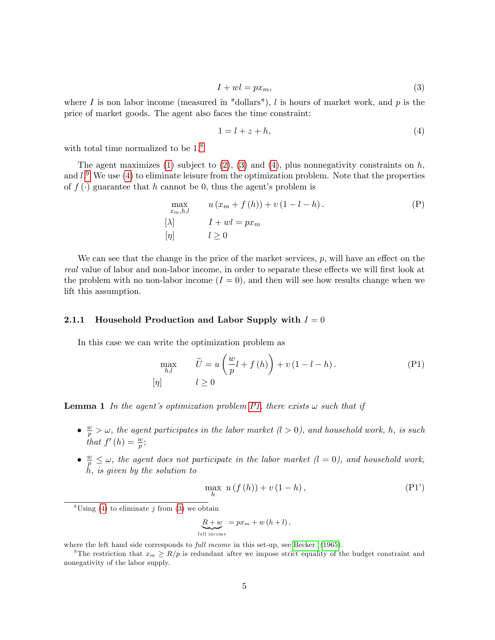<span id="page-5-1"></span>
$$
I + wl = px_m,\tag{3}
$$

where I is non labor income (measured in "dollars"), I is hours of market work, and p is the price of market goods. The agent also faces the time constraint:

<span id="page-5-2"></span>
$$
1 = l + z + h,\tag{4}
$$

with total time normalized to be  $1<sup>8</sup>$  $1<sup>8</sup>$  $1<sup>8</sup>$ 

The agent maximizes [\(1\)](#page-4-1) subject to  $(2)$ ,  $(3)$  and  $(4)$ , plus nonnegativity constraints on h, and  $l$ . We use [\(4\)](#page-5-2) to eliminate leisure from the optimization problem. Note that the properties of  $f(\cdot)$  guarantee that h cannot be 0, thus the agent's problem is

<span id="page-5-4"></span>
$$
\max_{x_m, h, l} \qquad u(x_m + f(h)) + v(1 - l - h).
$$
  
\n
$$
[ \lambda ] \qquad I + wl = px_m
$$
  
\n
$$
[ \eta ] \qquad l \ge 0
$$
 (P)

We can see that the change in the price of the market services,  $p$ , will have an effect on the real value of labor and non-labor income, in order to separate these effects we will first look at the problem with no non-labor income  $(I = 0)$ , and then will see how results change when we lift this assumption.

#### 2.1.1 Household Production and Labor Supply with  $I = 0$

In this case we can write the optimization problem as

$$
\max_{h,l} \qquad \widetilde{U} = u\left(\frac{w}{p}l + f\left(h\right)\right) + v\left(1 - l - h\right). \tag{P1}
$$
\n
$$
[\eta] \qquad \qquad l \ge 0
$$

<span id="page-5-5"></span>**Lemma 1** In the agent's optimization problem [P1,](#page-5-4) there exists  $\omega$  such that if

- $\bullet \frac{w}{p} > \omega$ , the agent participates in the labor market  $(l > 0)$ , and household work, h, is such that  $f'(h) = \frac{w}{p}$ ;
- $\frac{w}{p} \leq \omega$ , the agent does not participate in the labor market  $(l = 0)$ , and household work, h, is given by the solution to

$$
\max_{h} u(f(h)) + v(1-h), \tag{P1'}
$$

<span id="page-5-0"></span> $8 \text{Using } (4)$  $8 \text{Using } (4)$  to eliminate j from [\(3\)](#page-5-1) we obtain

$$
\underbrace{R+w}_{\text{full income}} = px_m + w(h+l),
$$

where the left hand side corresponds to *full income* in this set-up, see [Becker](#page-22-9) [\(1965\)](#page-22-9).

<span id="page-5-3"></span><sup>&</sup>lt;sup>9</sup>The restriction that  $x_m \ge R/p$  is redundant after we impose strict equality of the budget constraint and nonegativity of the labor supply.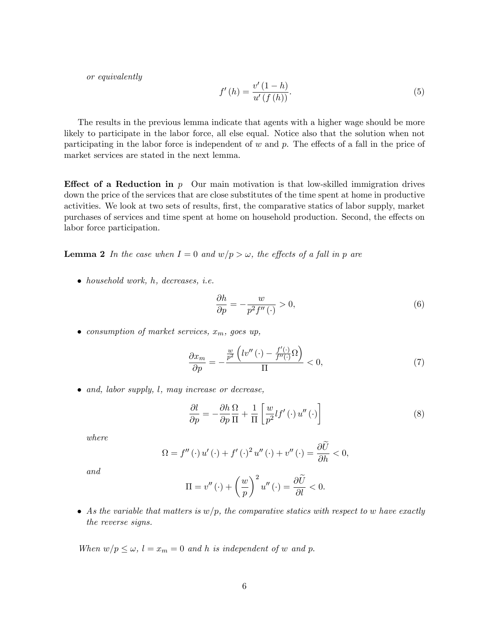or equivalently

$$
f'(h) = \frac{v'(1-h)}{u'(f(h))}.
$$
\n
$$
(5)
$$

The results in the previous lemma indicate that agents with a higher wage should be more likely to participate in the labor force, all else equal. Notice also that the solution when not participating in the labor force is independent of w and  $p$ . The effects of a fall in the price of market services are stated in the next lemma.

**Effect of a Reduction in**  $p$  Our main motivation is that low-skilled immigration drives down the price of the services that are close substitutes of the time spent at home in productive activities. We look at two sets of results, first, the comparative statics of labor supply, market purchases of services and time spent at home on household production. Second, the effects on labor force participation.

<span id="page-6-1"></span>**Lemma 2** In the case when  $I = 0$  and  $w/p > \omega$ , the effects of a fall in p are

• household work, h, decreases, i.e.

$$
\frac{\partial h}{\partial p} = -\frac{w}{p^2 f''(\cdot)} > 0,
$$
\n(6)

• consumption of market services,  $x_m$ , goes up,

$$
\frac{\partial x_m}{\partial p} = -\frac{\frac{w}{p^2} \left( l v'' \left( \cdot \right) - \frac{f'(\cdot)}{f''(\cdot)} \Omega \right)}{\Pi} < 0,\tag{7}
$$

• and, labor supply, l, may increase or decrease,

<span id="page-6-0"></span>
$$
\frac{\partial l}{\partial p} = -\frac{\partial h}{\partial p} \frac{\Omega}{\Pi} + \frac{1}{\Pi} \left[ \frac{w}{p^2} l f'(\cdot) u''(\cdot) \right]
$$
(8)

where

$$
\Omega = f''(\cdot) u'(\cdot) + f'(\cdot)^2 u''(\cdot) + v''(\cdot) = \frac{\partial U}{\partial h} < 0,
$$

and

$$
\Pi = v''(\cdot) + \left(\frac{w}{p}\right)^2 u''(\cdot) = \frac{\partial \widetilde{U}}{\partial l} < 0.
$$

• As the variable that matters is  $w/p$ , the comparative statics with respect to w have exactly the reverse signs.

When  $w/p \leq \omega$ ,  $l = x_m = 0$  and h is independent of w and p.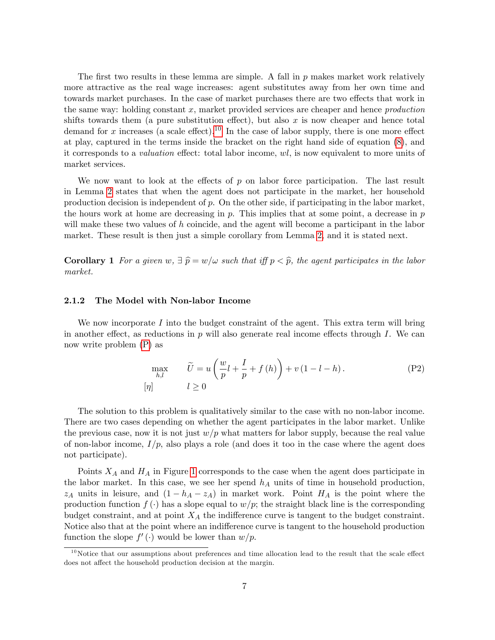The first two results in these lemma are simple. A fall in  $p$  makes market work relatively more attractive as the real wage increases: agent substitutes away from her own time and towards market purchases. In the case of market purchases there are two effects that work in the same way: holding constant  $x$ , market provided services are cheaper and hence *production* shifts towards them (a pure substitution effect), but also  $x$  is now cheaper and hence total demand for x increases (a scale effect).<sup>[10](#page-7-0)</sup> In the case of labor supply, there is one more effect at play, captured in the terms inside the bracket on the right hand side of equation [\(8\)](#page-6-0), and it corresponds to a *valuation* effect: total labor income,  $wl$ , is now equivalent to more units of market services.

We now want to look at the effects of  $p$  on labor force participation. The last result in Lemma [2](#page-6-1) states that when the agent does not participate in the market, her household production decision is independent of  $p$ . On the other side, if participating in the labor market, the hours work at home are decreasing in  $p$ . This implies that at some point, a decrease in  $p$ will make these two values of  $h$  coincide, and the agent will become a participant in the labor market. These result is then just a simple corollary from Lemma [2,](#page-6-1) and it is stated next.

**Corollary 1** For a given  $w, \exists \hat{p} = w/\omega$  such that iff  $p < \hat{p}$ , the agent participates in the labor market.

#### 2.1.2 The Model with Non-labor Income

We now incorporate  $I$  into the budget constraint of the agent. This extra term will bring in another effect, as reductions in p will also generate real income effects through I. We can now write problem [\(P\)](#page-5-4) as

<span id="page-7-1"></span>
$$
\max_{h,l} \qquad \widetilde{U} = u\left(\frac{w}{p}l + \frac{I}{p} + f\left(h\right)\right) + v\left(1 - l - h\right). \tag{P2}
$$
\n
$$
[\eta] \qquad l \ge 0
$$

The solution to this problem is qualitatively similar to the case with no non-labor income. There are two cases depending on whether the agent participates in the labor market. Unlike the previous case, now it is not just  $w/p$  what matters for labor supply, because the real value of non-labor income,  $I/p$ , also plays a role (and does it too in the case where the agent does not participate).

Points  $X_A$  and  $H_A$  in Figure [1](#page-8-0) corresponds to the case when the agent does participate in the labor market. In this case, we see her spend  $h_A$  units of time in household production,  $z_A$  units in leisure, and  $(1 - h_A - z_A)$  in market work. Point  $H_A$  is the point where the production function  $f(\cdot)$  has a slope equal to  $w/p$ ; the straight black line is the corresponding budget constraint, and at point  $X_A$  the indifference curve is tangent to the budget constraint. Notice also that at the point where an indifference curve is tangent to the household production function the slope  $f'(\cdot)$  would be lower than  $w/p$ .

<span id="page-7-0"></span> $10$ Notice that our assumptions about preferences and time allocation lead to the result that the scale effect does not affect the household production decision at the margin.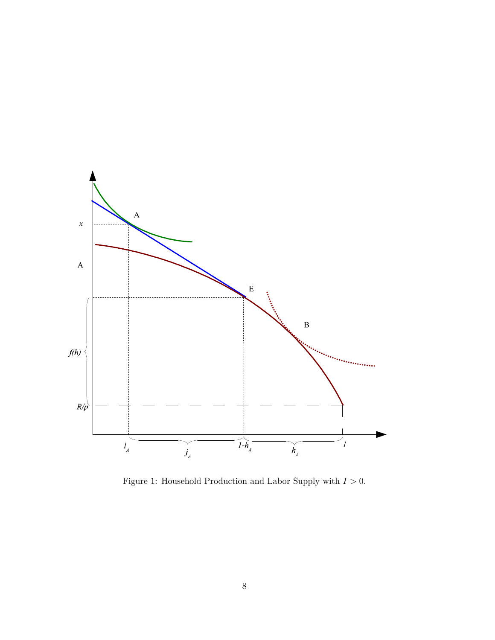

<span id="page-8-0"></span>Figure 1: Household Production and Labor Supply with  $I > 0$ .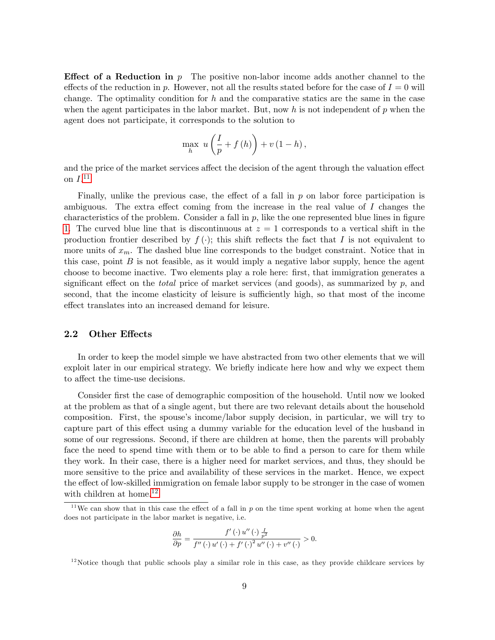**Effect of a Reduction in** p The positive non-labor income adds another channel to the effects of the reduction in p. However, not all the results stated before for the case of  $I = 0$  will change. The optimality condition for  $h$  and the comparative statics are the same in the case when the agent participates in the labor market. But, now h is not independent of  $p$  when the agent does not participate, it corresponds to the solution to

$$
\max_{h} u\left(\frac{I}{p} + f\left(h\right)\right) + v\left(1 - h\right),\
$$

and the price of the market services affect the decision of the agent through the valuation effect on  $I.^{11}$  $I.^{11}$  $I.^{11}$ 

Finally, unlike the previous case, the effect of a fall in  $p$  on labor force participation is ambiguous. The extra effect coming from the increase in the real value of  $I$  changes the characteristics of the problem. Consider a fall in  $p$ , like the one represented blue lines in figure [1.](#page-8-0) The curved blue line that is discontinuous at  $z = 1$  corresponds to a vertical shift in the production frontier described by  $f(\cdot)$ ; this shift reflects the fact that I is not equivalent to more units of  $x_m$ . The dashed blue line corresponds to the budget constraint. Notice that in this case, point  $B$  is not feasible, as it would imply a negative labor supply, hence the agent choose to become inactive. Two elements play a role here: Örst, that immigration generates a significant effect on the *total* price of market services (and goods), as summarized by p, and second, that the income elasticity of leisure is sufficiently high, so that most of the income effect translates into an increased demand for leisure.

#### 2.2 Other Effects

In order to keep the model simple we have abstracted from two other elements that we will exploit later in our empirical strategy. We briefly indicate here how and why we expect them to affect the time-use decisions.

Consider first the case of demographic composition of the household. Until now we looked at the problem as that of a single agent, but there are two relevant details about the household composition. First, the spouse's income/labor supply decision, in particular, we will try to capture part of this effect using a dummy variable for the education level of the husband in some of our regressions. Second, if there are children at home, then the parents will probably face the need to spend time with them or to be able to find a person to care for them while they work. In their case, there is a higher need for market services, and thus, they should be more sensitive to the price and availability of these services in the market. Hence, we expect the effect of low-skilled immigration on female labor supply to be stronger in the case of women with children at home.<sup>[12](#page-9-1)</sup>

$$
\frac{\partial h}{\partial p} = \frac{f'(\cdot) u''(\cdot) \frac{1}{p^2}}{f''(\cdot) u'(\cdot) + f'(\cdot)^2 u''(\cdot) + v''(\cdot)} > 0.
$$

<span id="page-9-0"></span><sup>&</sup>lt;sup>11</sup>We can show that in this case the effect of a fall in p on the time spent working at home when the agent does not participate in the labor market is negative, i.e.

<span id="page-9-1"></span> $12$ Notice though that public schools play a similar role in this case, as they provide childcare services by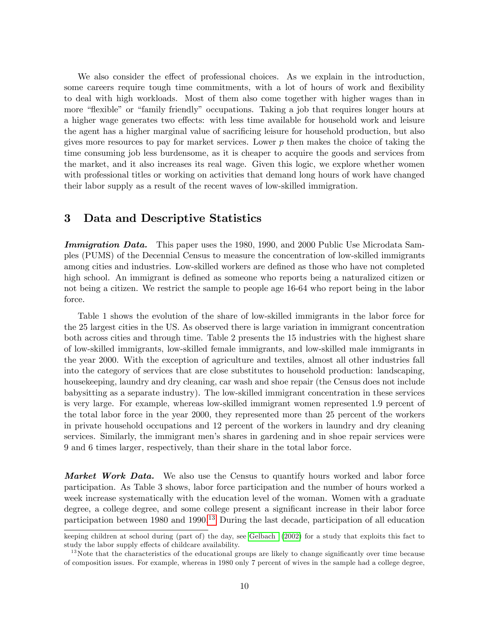We also consider the effect of professional choices. As we explain in the introduction, some careers require tough time commitments, with a lot of hours of work and flexibility to deal with high workloads. Most of them also come together with higher wages than in more "flexible" or "family friendly" occupations. Taking a job that requires longer hours at a higher wage generates two effects: with less time available for household work and leisure the agent has a higher marginal value of sacrificing leisure for household production, but also gives more resources to pay for market services. Lower p then makes the choice of taking the time consuming job less burdensome, as it is cheaper to acquire the goods and services from the market, and it also increases its real wage. Given this logic, we explore whether women with professional titles or working on activities that demand long hours of work have changed their labor supply as a result of the recent waves of low-skilled immigration.

## <span id="page-10-0"></span>3 Data and Descriptive Statistics

Immigration Data. This paper uses the 1980, 1990, and 2000 Public Use Microdata Samples (PUMS) of the Decennial Census to measure the concentration of low-skilled immigrants among cities and industries. Low-skilled workers are defined as those who have not completed high school. An immigrant is defined as someone who reports being a naturalized citizen or not being a citizen. We restrict the sample to people age 16-64 who report being in the labor force.

Table 1 shows the evolution of the share of low-skilled immigrants in the labor force for the 25 largest cities in the US. As observed there is large variation in immigrant concentration both across cities and through time. Table 2 presents the 15 industries with the highest share of low-skilled immigrants, low-skilled female immigrants, and low-skilled male immigrants in the year 2000. With the exception of agriculture and textiles, almost all other industries fall into the category of services that are close substitutes to household production: landscaping, housekeeping, laundry and dry cleaning, car wash and shoe repair (the Census does not include babysitting as a separate industry). The low-skilled immigrant concentration in these services is very large. For example, whereas low-skilled immigrant women represented 1.9 percent of the total labor force in the year 2000, they represented more than 25 percent of the workers in private household occupations and 12 percent of the workers in laundry and dry cleaning services. Similarly, the immigrant menís shares in gardening and in shoe repair services were 9 and 6 times larger, respectively, than their share in the total labor force.

**Market Work Data.** We also use the Census to quantify hours worked and labor force participation. As Table 3 shows, labor force participation and the number of hours worked a week increase systematically with the education level of the woman. Women with a graduate degree, a college degree, and some college present a significant increase in their labor force participation between  $1980$  and  $1990<sup>13</sup>$  $1990<sup>13</sup>$  $1990<sup>13</sup>$  During the last decade, participation of all education

keeping children at school during (part of) the day, see [Gelbach](#page-22-6) [\(2002\)](#page-22-6) for a study that exploits this fact to study the labor supply effects of childcare availability.

<span id="page-10-1"></span><sup>&</sup>lt;sup>13</sup>Note that the characteristics of the educational groups are likely to change significantly over time because of composition issues. For example, whereas in 1980 only 7 percent of wives in the sample had a college degree,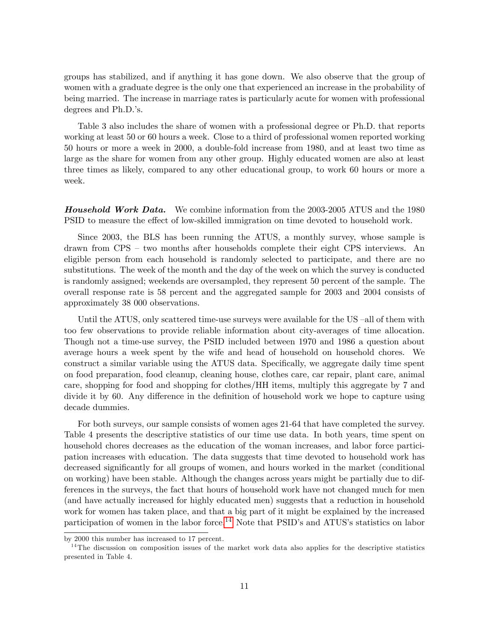groups has stabilized, and if anything it has gone down. We also observe that the group of women with a graduate degree is the only one that experienced an increase in the probability of being married. The increase in marriage rates is particularly acute for women with professional degrees and Ph.D.'s.

Table 3 also includes the share of women with a professional degree or Ph.D. that reports working at least 50 or 60 hours a week. Close to a third of professional women reported working 50 hours or more a week in 2000, a double-fold increase from 1980, and at least two time as large as the share for women from any other group. Highly educated women are also at least three times as likely, compared to any other educational group, to work 60 hours or more a week.

**Household Work Data.** We combine information from the 2003-2005 ATUS and the 1980 PSID to measure the effect of low-skilled immigration on time devoted to household work.

Since 2003, the BLS has been running the ATUS, a monthly survey, whose sample is drawn from  $CPS - two$  months after households complete their eight CPS interviews. An eligible person from each household is randomly selected to participate, and there are no substitutions. The week of the month and the day of the week on which the survey is conducted is randomly assigned; weekends are oversampled, they represent 50 percent of the sample. The overall response rate is 58 percent and the aggregated sample for 2003 and 2004 consists of approximately 38 000 observations.

Until the ATUS, only scattered time-use surveys were available for the US-all of them with too few observations to provide reliable information about city-averages of time allocation. Though not a time-use survey, the PSID included between 1970 and 1986 a question about average hours a week spent by the wife and head of household on household chores. We construct a similar variable using the ATUS data. Specifically, we aggregate daily time spent on food preparation, food cleanup, cleaning house, clothes care, car repair, plant care, animal care, shopping for food and shopping for clothes/HH items, multiply this aggregate by 7 and divide it by 60. Any difference in the definition of household work we hope to capture using decade dummies.

For both surveys, our sample consists of women ages 21-64 that have completed the survey. Table 4 presents the descriptive statistics of our time use data. In both years, time spent on household chores decreases as the education of the woman increases, and labor force participation increases with education. The data suggests that time devoted to household work has decreased significantly for all groups of women, and hours worked in the market (conditional on working) have been stable. Although the changes across years might be partially due to differences in the surveys, the fact that hours of household work have not changed much for men (and have actually increased for highly educated men) suggests that a reduction in household work for women has taken place, and that a big part of it might be explained by the increased participation of women in the labor force.<sup>[14](#page-11-0)</sup> Note that PSID's and ATUS's statistics on labor

by 2000 this number has increased to 17 percent.

<span id="page-11-0"></span> $14$ The discussion on composition issues of the market work data also applies for the descriptive statistics presented in Table 4.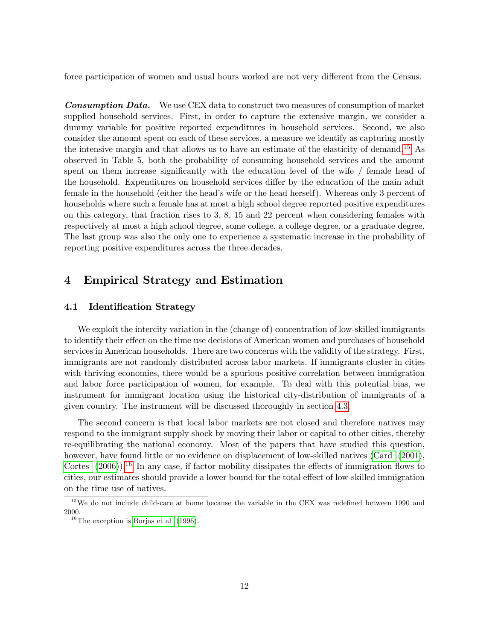force participation of women and usual hours worked are not very different from the Census.

**Consumption Data.** We use CEX data to construct two measures of consumption of market supplied household services. First, in order to capture the extensive margin, we consider a dummy variable for positive reported expenditures in household services. Second, we also consider the amount spent on each of these services, a measure we identify as capturing mostly the intensive margin and that allows us to have an estimate of the elasticity of demand.<sup>[15](#page-12-1)</sup> As observed in Table 5, both the probability of consuming household services and the amount spent on them increase significantly with the education level of the wife / female head of the household. Expenditures on household services differ by the education of the main adult female in the household (either the head's wife or the head herself). Whereas only 3 percent of households where such a female has at most a high school degree reported positive expenditures on this category, that fraction rises to 3, 8, 15 and 22 percent when considering females with respectively at most a high school degree, some college, a college degree, or a graduate degree. The last group was also the only one to experience a systematic increase in the probability of reporting positive expenditures across the three decades.

## <span id="page-12-0"></span>4 Empirical Strategy and Estimation

#### 4.1 Identification Strategy

We exploit the intercity variation in the (change of) concentration of low-skilled immigrants to identify their effect on the time use decisions of American women and purchases of household services in American households. There are two concerns with the validity of the strategy. First, immigrants are not randomly distributed across labor markets. If immigrants cluster in cities with thriving economies, there would be a spurious positive correlation between immigration and labor force participation of women, for example. To deal with this potential bias, we instrument for immigrant location using the historical city-distribution of immigrants of a given country. The instrument will be discussed thoroughly in section [4.3.](#page-15-0)

The second concern is that local labor markets are not closed and therefore natives may respond to the immigrant supply shock by moving their labor or capital to other cities, thereby re-equilibrating the national economy. Most of the papers that have studied this question, however, have found little or no evidence on displacement of low-skilled natives [\(Card](#page-22-5) [\(2001\)](#page-22-5), [Cortes](#page-22-0)  $(2006)$ .<sup>[16](#page-12-2)</sup> In any case, if factor mobility dissipates the effects of immigration flows to cities, our estimates should provide a lower bound for the total effect of low-skilled immigration on the time use of natives.

<span id="page-12-1"></span> $15$ We do not include child-care at home because the variable in the CEX was redefined between 1990 and 2000.

<span id="page-12-2"></span> $16$ The exception is [Borjas et al](#page-22-2) [\(1996\)](#page-22-2).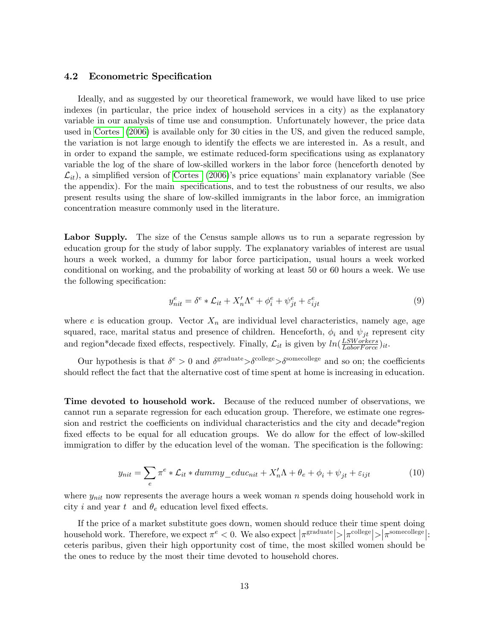#### 4.2 Econometric Specification

Ideally, and as suggested by our theoretical framework, we would have liked to use price indexes (in particular, the price index of household services in a city) as the explanatory variable in our analysis of time use and consumption. Unfortunately however, the price data used in [Cortes](#page-22-0) [\(2006\)](#page-22-0) is available only for 30 cities in the US, and given the reduced sample, the variation is not large enough to identify the effects we are interested in. As a result, and in order to expand the sample, we estimate reduced-form specifications using as explanatory variable the log of the share of low-skilled workers in the labor force (henceforth denoted by  $\mathcal{L}_{it}$ ), a simplified version of [Cortes](#page-22-0) [\(2006\)](#page-22-0)'s price equations' main explanatory variable (See the appendix). For the main specifications, and to test the robustness of our results, we also present results using the share of low-skilled immigrants in the labor force, an immigration concentration measure commonly used in the literature.

Labor Supply. The size of the Census sample allows us to run a separate regression by education group for the study of labor supply. The explanatory variables of interest are usual hours a week worked, a dummy for labor force participation, usual hours a week worked conditional on working, and the probability of working at least 50 or 60 hours a week. We use the following specification:

$$
y_{nit}^e = \delta^e * \mathcal{L}_{it} + X_n' \Lambda^e + \phi_i^e + \psi_{jt}^e + \varepsilon_{ijt}^e \tag{9}
$$

where e is education group. Vector  $X_n$  are individual level characteristics, namely age, age squared, race, marital status and presence of children. Henceforth,  $\phi_i$  and  $\psi_{jt}$  represent city and region\*decade fixed effects, respectively. Finally,  $\mathcal{L}_{it}$  is given by  $ln(\frac{LSWorkers}{LaborForce})_{it}$ .

Our hypothesis is that  $\delta^e > 0$  and  $\delta^{\text{gradient}} > \delta^{\text{collective}} > \delta^{\text{source}}$  and so on; the coefficients should reflect the fact that the alternative cost of time spent at home is increasing in education.

Time devoted to household work. Because of the reduced number of observations, we cannot run a separate regression for each education group. Therefore, we estimate one regression and restrict the coefficients on individual characteristics and the city and decade\*region fixed effects to be equal for all education groups. We do allow for the effect of low-skilled immigration to differ by the education level of the woman. The specification is the following:

<span id="page-13-0"></span>
$$
y_{nit} = \sum_{e} \pi^{e} * \mathcal{L}_{it} * dummy\_educ_{nit} + X'_{n}\Lambda + \theta_{e} + \phi_{i} + \psi_{jt} + \varepsilon_{ijt}
$$
(10)

where  $y_{nit}$  now represents the average hours a week woman n spends doing household work in city i and year t and  $\theta_e$  education level fixed effects.

If the price of a market substitute goes down, women should reduce their time spent doing household work. Therefore, we expect  $\pi^e < 0$ . We also expect  $\left|\pi^{\rm graduate}\right| > \left|\pi^{\rm college}\right| > \left|\pi^{\rm someoneellege}\right|$ : ceteris paribus, given their high opportunity cost of time, the most skilled women should be the ones to reduce by the most their time devoted to household chores.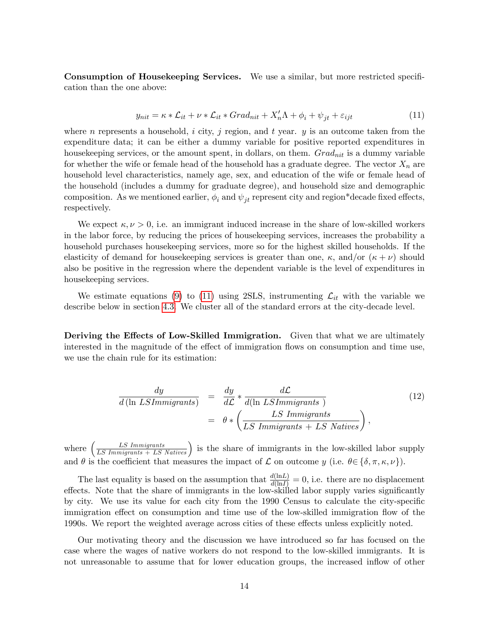Consumption of Housekeeping Services. We use a similar, but more restricted specification than the one above:

<span id="page-14-0"></span>
$$
y_{nit} = \kappa * \mathcal{L}_{it} + \nu * \mathcal{L}_{it} * Grad_{nit} + X'_n \Lambda + \phi_i + \psi_{jt} + \varepsilon_{ijt}
$$
\n
$$
\tag{11}
$$

where n represents a household, i city, j region, and t year.  $y$  is an outcome taken from the expenditure data; it can be either a dummy variable for positive reported expenditures in housekeeping services, or the amount spent, in dollars, on them.  $Grad_{nit}$  is a dummy variable for whether the wife or female head of the household has a graduate degree. The vector  $X_n$  are household level characteristics, namely age, sex, and education of the wife or female head of the household (includes a dummy for graduate degree), and household size and demographic composition. As we mentioned earlier,  $\phi_i$  and  $\psi_{it}$  represent city and region\*decade fixed effects, respectively.

We expect  $\kappa, \nu > 0$ , i.e. an immigrant induced increase in the share of low-skilled workers in the labor force, by reducing the prices of housekeeping services, increases the probability a household purchases housekeeping services, more so for the highest skilled households. If the elasticity of demand for house keeping services is greater than one,  $\kappa$ , and/or  $(\kappa + \nu)$  should also be positive in the regression where the dependent variable is the level of expenditures in housekeeping services.

We estimate equations [\(9\)](#page-7-1) to [\(11\)](#page-14-0) using 2SLS, instrumenting  $\mathcal{L}_{it}$  with the variable we describe below in section [4.3.](#page-15-0) We cluster all of the standard errors at the city-decade level.

Deriving the Effects of Low-Skilled Immigration. Given that what we are ultimately interested in the magnitude of the effect of immigration flows on consumption and time use, we use the chain rule for its estimation:

$$
\frac{dy}{d(\ln LSImmigrams)} = \frac{dy}{d\mathcal{L}} * \frac{d\mathcal{L}}{d(\ln LSImmigrams)}
$$
\n
$$
= \theta * \left(\frac{LS\,Immigrams}{LS\,Immigrams + LS\, Nations}\right),
$$
\n(12)

where  $\left(\frac{LS\,Immingrants}{LS\,Immingrants + LS\,Natives}\right)$  is the share of immigrants in the low-skilled labor supply and  $\theta$  is the coefficient that measures the impact of  $\mathcal L$  on outcome  $y$  (i.e.  $\theta \in {\delta, \pi, \kappa, \nu}$ ).

The last equality is based on the assumption that  $\frac{d(\text{ln}L)}{d(\text{ln}L)} = 0$ , i.e. there are no displacement effects. Note that the share of immigrants in the low-skilled labor supply varies significantly by city. We use its value for each city from the 1990 Census to calculate the city-specific immigration effect on consumption and time use of the low-skilled immigration flow of the 1990s. We report the weighted average across cities of these effects unless explicitly noted.

Our motivating theory and the discussion we have introduced so far has focused on the case where the wages of native workers do not respond to the low-skilled immigrants. It is not unreasonable to assume that for lower education groups, the increased inflow of other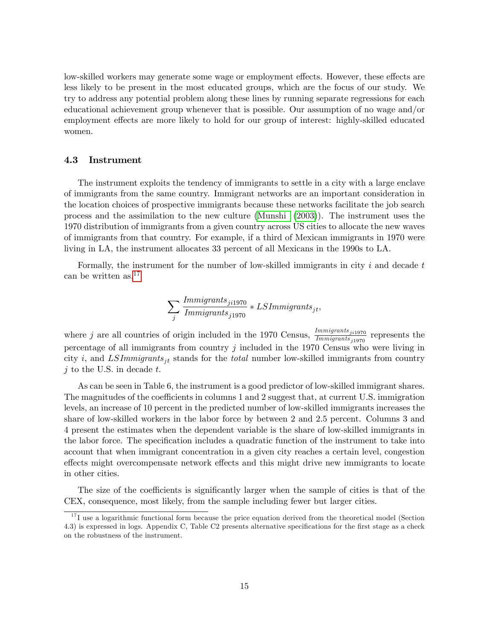low-skilled workers may generate some wage or employment effects. However, these effects are less likely to be present in the most educated groups, which are the focus of our study. We try to address any potential problem along these lines by running separate regressions for each educational achievement group whenever that is possible. Our assumption of no wage and/or employment effects are more likely to hold for our group of interest: highly-skilled educated women.

#### <span id="page-15-0"></span>4.3 Instrument

The instrument exploits the tendency of immigrants to settle in a city with a large enclave of immigrants from the same country. Immigrant networks are an important consideration in the location choices of prospective immigrants because these networks facilitate the job search process and the assimilation to the new culture [\(Munshi](#page-23-1) [\(2003\)](#page-23-1)). The instrument uses the 1970 distribution of immigrants from a given country across US cities to allocate the new waves of immigrants from that country. For example, if a third of Mexican immigrants in 1970 were living in LA, the instrument allocates 33 percent of all Mexicans in the 1990s to LA.

Formally, the instrument for the number of low-skilled immigrants in city  $i$  and decade  $t$ can be written as,  $17$ 

$$
\sum_j \frac{Immigrams_{j i 1970}}{Immigrams_{j 1970}} * LSImmigrams_{jt},
$$

where j are all countries of origin included in the 1970 Census,  $\frac{Immigrams_{j11970}}{Immigrams_{j1970}}$  represents the percentage of all immigrants from country  $j$  included in the 1970 Census who were living in city i, and LSImmigrants<sub>it</sub> stands for the *total* number low-skilled immigrants from country  $i$  to the U.S. in decade  $t$ .

As can be seen in Table 6, the instrument is a good predictor of low-skilled immigrant shares. The magnitudes of the coefficients in columns 1 and 2 suggest that, at current U.S. immigration levels, an increase of 10 percent in the predicted number of low-skilled immigrants increases the share of low-skilled workers in the labor force by between 2 and 2.5 percent. Columns 3 and 4 present the estimates when the dependent variable is the share of low-skilled immigrants in the labor force. The specification includes a quadratic function of the instrument to take into account that when immigrant concentration in a given city reaches a certain level, congestion effects might overcompensate network effects and this might drive new immigrants to locate in other cities.

The size of the coefficients is significantly larger when the sample of cities is that of the CEX, consequence, most likely, from the sample including fewer but larger cities.

<span id="page-15-1"></span> $17$  I use a logarithmic functional form because the price equation derived from the theoretical model (Section 4.3) is expressed in logs. Appendix C, Table C2 presents alternative specifications for the first stage as a check on the robustness of the instrument.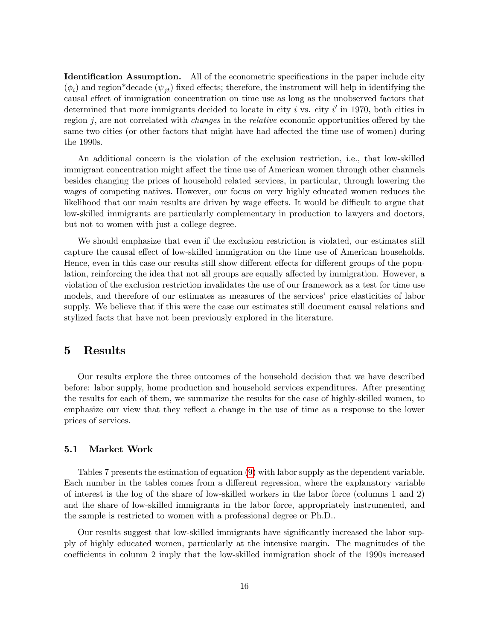**Identification Assumption.** All of the econometric specifications in the paper include city  $(\phi_i)$  and region\*decade  $(\psi_{jt})$  fixed effects; therefore, the instrument will help in identifying the causal effect of immigration concentration on time use as long as the unobserved factors that determined that more immigrants decided to locate in city  $i$  vs. city  $i'$  in 1970, both cities in region j, are not correlated with *changes* in the *relative* economic opportunities offered by the same two cities (or other factors that might have had affected the time use of women) during the 1990s.

An additional concern is the violation of the exclusion restriction, i.e., that low-skilled immigrant concentration might affect the time use of American women through other channels besides changing the prices of household related services, in particular, through lowering the wages of competing natives. However, our focus on very highly educated women reduces the likelihood that our main results are driven by wage effects. It would be difficult to argue that low-skilled immigrants are particularly complementary in production to lawyers and doctors, but not to women with just a college degree.

We should emphasize that even if the exclusion restriction is violated, our estimates still capture the causal effect of low-skilled immigration on the time use of American households. Hence, even in this case our results still show different effects for different groups of the population, reinforcing the idea that not all groups are equally affected by immigration. However, a violation of the exclusion restriction invalidates the use of our framework as a test for time use models, and therefore of our estimates as measures of the services' price elasticities of labor supply. We believe that if this were the case our estimates still document causal relations and stylized facts that have not been previously explored in the literature.

## <span id="page-16-0"></span>5 Results

Our results explore the three outcomes of the household decision that we have described before: labor supply, home production and household services expenditures. After presenting the results for each of them, we summarize the results for the case of highly-skilled women, to emphasize our view that they reflect a change in the use of time as a response to the lower prices of services.

#### 5.1 Market Work

Tables 7 presents the estimation of equation [\(9\)](#page-7-1) with labor supply as the dependent variable. Each number in the tables comes from a different regression, where the explanatory variable of interest is the log of the share of low-skilled workers in the labor force (columns 1 and 2) and the share of low-skilled immigrants in the labor force, appropriately instrumented, and the sample is restricted to women with a professional degree or Ph.D..

Our results suggest that low-skilled immigrants have significantly increased the labor supply of highly educated women, particularly at the intensive margin. The magnitudes of the coefficients in column 2 imply that the low-skilled immigration shock of the 1990s increased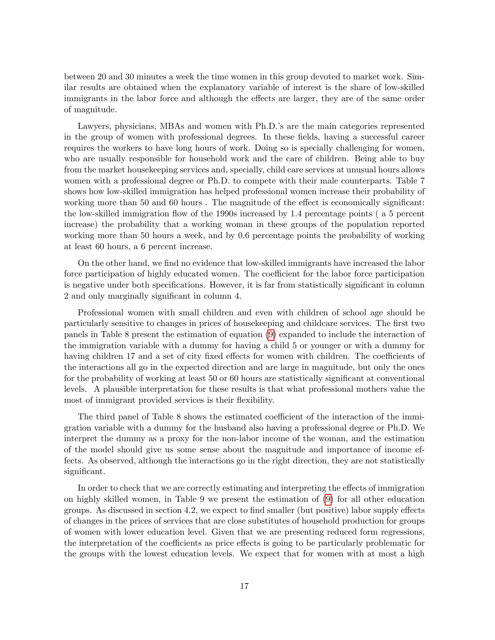between 20 and 30 minutes a week the time women in this group devoted to market work. Similar results are obtained when the explanatory variable of interest is the share of low-skilled immigrants in the labor force and although the effects are larger, they are of the same order of magnitude.

Lawyers, physicians, MBAs and women with Ph.D.'s are the main categories represented in the group of women with professional degrees. In these fields, having a successful career requires the workers to have long hours of work. Doing so is specially challenging for women, who are usually responsible for household work and the care of children. Being able to buy from the market housekeeping services and, specially, child care services at unusual hours allows women with a professional degree or Ph.D. to compete with their male counterparts. Table 7 shows how low-skilled immigration has helped professional women increase their probability of working more than 50 and 60 hours. The magnitude of the effect is economically significant: the low-skilled immigration flow of the 1990s increased by 1.4 percentage points (a 5 percent increase) the probability that a working woman in these groups of the population reported working more than 50 hours a week, and by 0.6 percentage points the probability of working at least 60 hours, a 6 percent increase.

On the other hand, we find no evidence that low-skilled immigrants have increased the labor force participation of highly educated women. The coefficient for the labor force participation is negative under both specifications. However, it is far from statistically significant in column 2 and only marginally significant in column 4.

Professional women with small children and even with children of school age should be particularly sensitive to changes in prices of house keeping and childcare services. The first two panels in Table 8 present the estimation of equation [\(9\)](#page-7-1) expanded to include the interaction of the immigration variable with a dummy for having a child 5 or younger or with a dummy for having children 17 and a set of city fixed effects for women with children. The coefficients of the interactions all go in the expected direction and are large in magnitude, but only the ones for the probability of working at least 50 or 60 hours are statistically significant at conventional levels. A plausible interpretation for these results is that what professional mothers value the most of immigrant provided services is their flexibility.

The third panel of Table 8 shows the estimated coefficient of the interaction of the immigration variable with a dummy for the husband also having a professional degree or Ph.D. We interpret the dummy as a proxy for the non-labor income of the woman, and the estimation of the model should give us some sense about the magnitude and importance of income effects. As observed, although the interactions go in the right direction, they are not statistically significant.

In order to check that we are correctly estimating and interpreting the effects of immigration on highly skilled women, in Table 9 we present the estimation of [\(9\)](#page-7-1) for all other education groups. As discussed in section  $4.2$ , we expect to find smaller (but positive) labor supply effects of changes in the prices of services that are close substitutes of household production for groups of women with lower education level. Given that we are presenting reduced form regressions, the interpretation of the coefficients as price effects is going to be particularly problematic for the groups with the lowest education levels. We expect that for women with at most a high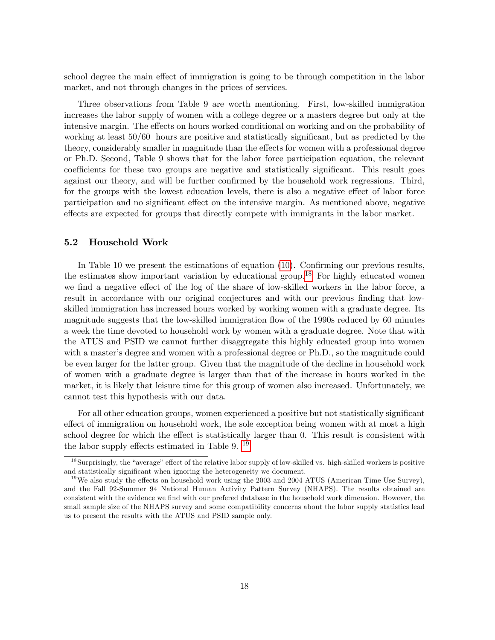school degree the main effect of immigration is going to be through competition in the labor market, and not through changes in the prices of services.

Three observations from Table 9 are worth mentioning. First, low-skilled immigration increases the labor supply of women with a college degree or a masters degree but only at the intensive margin. The effects on hours worked conditional on working and on the probability of working at least  $50/60$  hours are positive and statistically significant, but as predicted by the theory, considerably smaller in magnitude than the effects for women with a professional degree or Ph.D. Second, Table 9 shows that for the labor force participation equation, the relevant coefficients for these two groups are negative and statistically significant. This result goes against our theory, and will be further confirmed by the household work regressions. Third, for the groups with the lowest education levels, there is also a negative effect of labor force participation and no significant effect on the intensive margin. As mentioned above, negative effects are expected for groups that directly compete with immigrants in the labor market.

#### 5.2 Household Work

In Table 10 we present the estimations of equation  $(10)$ . Confirming our previous results, the estimates show important variation by educational group.<sup>[18](#page-18-0)</sup> For highly educated women we find a negative effect of the log of the share of low-skilled workers in the labor force, a result in accordance with our original conjectures and with our previous finding that lowskilled immigration has increased hours worked by working women with a graduate degree. Its magnitude suggests that the low-skilled immigration áow of the 1990s reduced by 60 minutes a week the time devoted to household work by women with a graduate degree. Note that with the ATUS and PSID we cannot further disaggregate this highly educated group into women with a master's degree and women with a professional degree or Ph.D., so the magnitude could be even larger for the latter group. Given that the magnitude of the decline in household work of women with a graduate degree is larger than that of the increase in hours worked in the market, it is likely that leisure time for this group of women also increased. Unfortunately, we cannot test this hypothesis with our data.

For all other education groups, women experienced a positive but not statistically significant effect of immigration on household work, the sole exception being women with at most a high school degree for which the effect is statistically larger than 0. This result is consistent with the labor supply effects estimated in Table 9.  $^{19}$  $^{19}$  $^{19}$ 

<span id="page-18-0"></span> $18$ Surprisingly, the "average" effect of the relative labor supply of low-skilled vs. high-skilled workers is positive and statistically significant when ignoring the heterogeneity we document.

<span id="page-18-1"></span><sup>&</sup>lt;sup>19</sup>We also study the effects on household work using the 2003 and 2004 ATUS (American Time Use Survey), and the Fall 92-Summer 94 National Human Activity Pattern Survey (NHAPS). The results obtained are consistent with the evidence we find with our prefered database in the household work dimension. However, the small sample size of the NHAPS survey and some compatibility concerns about the labor supply statistics lead us to present the results with the ATUS and PSID sample only.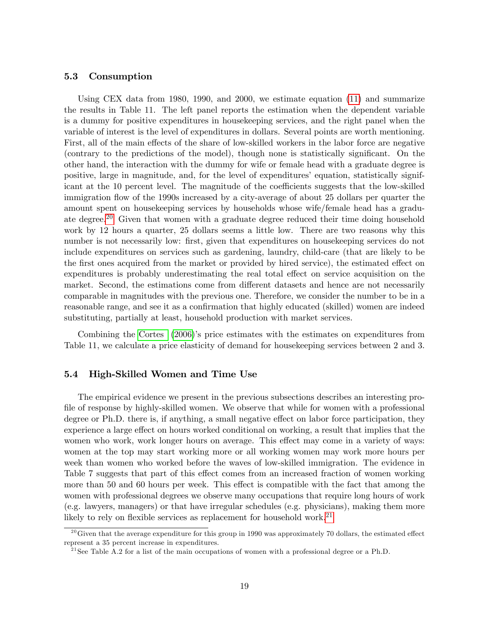#### 5.3 Consumption

Using CEX data from 1980, 1990, and 2000, we estimate equation [\(11\)](#page-14-0) and summarize the results in Table 11. The left panel reports the estimation when the dependent variable is a dummy for positive expenditures in housekeeping services, and the right panel when the variable of interest is the level of expenditures in dollars. Several points are worth mentioning. First, all of the main effects of the share of low-skilled workers in the labor force are negative (contrary to the predictions of the model), though none is statistically significant. On the other hand, the interaction with the dummy for wife or female head with a graduate degree is positive, large in magnitude, and, for the level of expenditures' equation, statistically significant at the 10 percent level. The magnitude of the coefficients suggests that the low-skilled immigration flow of the 1990s increased by a city-average of about 25 dollars per quarter the amount spent on housekeeping services by households whose wife/female head has a gradu-ate degree.<sup>[20](#page-19-0)</sup> Given that women with a graduate degree reduced their time doing household work by 12 hours a quarter, 25 dollars seems a little low. There are two reasons why this number is not necessarily low: first, given that expenditures on housekeeping services do not include expenditures on services such as gardening, laundry, child-care (that are likely to be the first ones acquired from the market or provided by hired service), the estimated effect on expenditures is probably underestimating the real total effect on service acquisition on the market. Second, the estimations come from different datasets and hence are not necessarily comparable in magnitudes with the previous one. Therefore, we consider the number to be in a reasonable range, and see it as a confirmation that highly educated (skilled) women are indeed substituting, partially at least, household production with market services.

Combining the [Cortes](#page-22-0) [\(2006\)](#page-22-0)'s price estimates with the estimates on expenditures from Table 11, we calculate a price elasticity of demand for housekeeping services between 2 and 3.

#### 5.4 High-Skilled Women and Time Use

The empirical evidence we present in the previous subsections describes an interesting profile of response by highly-skilled women. We observe that while for women with a professional degree or Ph.D. there is, if anything, a small negative effect on labor force participation, they experience a large effect on hours worked conditional on working, a result that implies that the women who work, work longer hours on average. This effect may come in a variety of ways: women at the top may start working more or all working women may work more hours per week than women who worked before the waves of low-skilled immigration. The evidence in Table 7 suggests that part of this effect comes from an increased fraction of women working more than 50 and 60 hours per week. This effect is compatible with the fact that among the women with professional degrees we observe many occupations that require long hours of work (e.g. lawyers, managers) or that have irregular schedules (e.g. physicians), making them more likely to rely on flexible services as replacement for household work.<sup>[21](#page-19-1)</sup>

<span id="page-19-0"></span><sup>&</sup>lt;sup>20</sup> Given that the average expenditure for this group in 1990 was approximately 70 dollars, the estimated effect represent a 35 percent increase in expenditures.

<span id="page-19-1"></span><sup>&</sup>lt;sup>21</sup> See Table A.2 for a list of the main occupations of women with a professional degree or a Ph.D.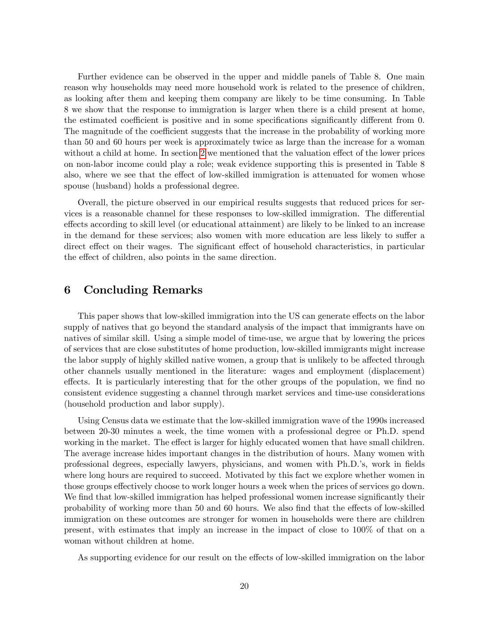Further evidence can be observed in the upper and middle panels of Table 8. One main reason why households may need more household work is related to the presence of children, as looking after them and keeping them company are likely to be time consuming. In Table 8 we show that the response to immigration is larger when there is a child present at home, the estimated coefficient is positive and in some specifications significantly different from 0. The magnitude of the coefficient suggests that the increase in the probability of working more than 50 and 60 hours per week is approximately twice as large than the increase for a woman without a child at home. In section [2](#page-4-2) we mentioned that the valuation effect of the lower prices on non-labor income could play a role; weak evidence supporting this is presented in Table 8 also, where we see that the effect of low-skilled immigration is attenuated for women whose spouse (husband) holds a professional degree.

Overall, the picture observed in our empirical results suggests that reduced prices for services is a reasonable channel for these responses to low-skilled immigration. The differential effects according to skill level (or educational attainment) are likely to be linked to an increase in the demand for these services; also women with more education are less likely to suffer a direct effect on their wages. The significant effect of household characteristics, in particular the effect of children, also points in the same direction.

## <span id="page-20-0"></span>6 Concluding Remarks

This paper shows that low-skilled immigration into the US can generate effects on the labor supply of natives that go beyond the standard analysis of the impact that immigrants have on natives of similar skill. Using a simple model of time-use, we argue that by lowering the prices of services that are close substitutes of home production, low-skilled immigrants might increase the labor supply of highly skilled native women, a group that is unlikely to be affected through other channels usually mentioned in the literature: wages and employment (displacement) effects. It is particularly interesting that for the other groups of the population, we find no consistent evidence suggesting a channel through market services and time-use considerations (household production and labor supply).

Using Census data we estimate that the low-skilled immigration wave of the 1990s increased between 20-30 minutes a week, the time women with a professional degree or Ph.D. spend working in the market. The effect is larger for highly educated women that have small children. The average increase hides important changes in the distribution of hours. Many women with professional degrees, especially lawyers, physicians, and women with Ph.D.ís, work in Öelds where long hours are required to succeed. Motivated by this fact we explore whether women in those groups effectively choose to work longer hours a week when the prices of services go down. We find that low-skilled immigration has helped professional women increase significantly their probability of working more than 50 and 60 hours. We also find that the effects of low-skilled immigration on these outcomes are stronger for women in households were there are children present, with estimates that imply an increase in the impact of close to 100% of that on a woman without children at home.

As supporting evidence for our result on the effects of low-skilled immigration on the labor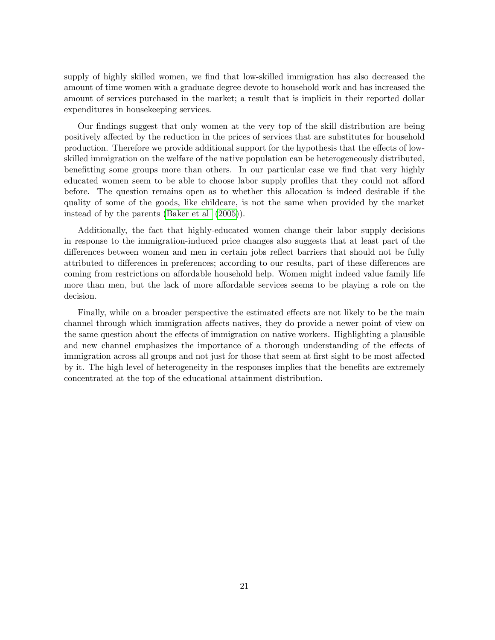supply of highly skilled women, we find that low-skilled immigration has also decreased the amount of time women with a graduate degree devote to household work and has increased the amount of services purchased in the market; a result that is implicit in their reported dollar expenditures in housekeeping services.

Our findings suggest that only women at the very top of the skill distribution are being positively affected by the reduction in the prices of services that are substitutes for household production. Therefore we provide additional support for the hypothesis that the effects of lowskilled immigration on the welfare of the native population can be heterogeneously distributed, benefitting some groups more than others. In our particular case we find that very highly educated women seem to be able to choose labor supply profiles that they could not afford before. The question remains open as to whether this allocation is indeed desirable if the quality of some of the goods, like childcare, is not the same when provided by the market instead of by the parents [\(Baker et al](#page-22-7) [\(2005\)](#page-22-7)).

Additionally, the fact that highly-educated women change their labor supply decisions in response to the immigration-induced price changes also suggests that at least part of the differences between women and men in certain jobs reflect barriers that should not be fully attributed to differences in preferences; according to our results, part of these differences are coming from restrictions on affordable household help. Women might indeed value family life more than men, but the lack of more affordable services seems to be playing a role on the decision.

Finally, while on a broader perspective the estimated effects are not likely to be the main channel through which immigration affects natives, they do provide a newer point of view on the same question about the effects of immigration on native workers. Highlighting a plausible and new channel emphasizes the importance of a thorough understanding of the effects of immigration across all groups and not just for those that seem at first sight to be most affected by it. The high level of heterogeneity in the responses implies that the benefits are extremely concentrated at the top of the educational attainment distribution.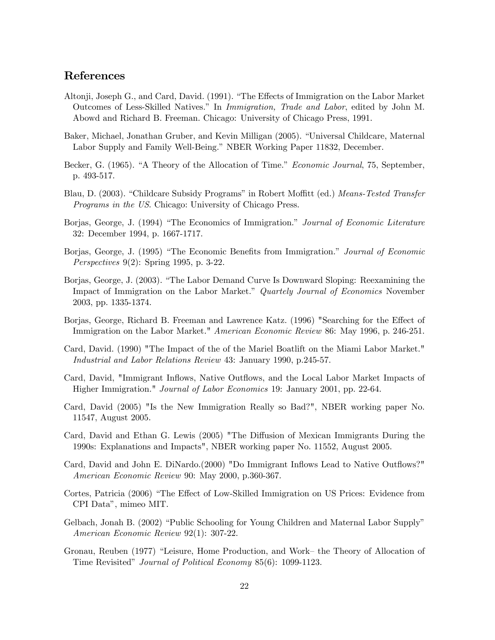## References

- <span id="page-22-1"></span>Altonji, Joseph G., and Card, David. (1991). "The Effects of Immigration on the Labor Market Outcomes of Less-Skilled Natives." In Immigration, Trade and Labor, edited by John M. Abowd and Richard B. Freeman. Chicago: University of Chicago Press, 1991.
- <span id="page-22-7"></span>Baker, Michael, Jonathan Gruber, and Kevin Milligan (2005). "Universal Childcare, Maternal Labor Supply and Family Well-Being." NBER Working Paper 11832, December.
- <span id="page-22-9"></span>Becker, G. (1965). "A Theory of the Allocation of Time." Economic Journal, 75, September, p. 493-517.
- Blau, D. (2003). "Childcare Subsidy Programs" in Robert Moffitt (ed.) Means-Tested Transfer Programs in the US. Chicago: University of Chicago Press.
- Borjas, George, J. (1994) "The Economics of Immigration." Journal of Economic Literature 32: December 1994, p. 1667-1717.
- Borjas, George, J. (1995) "The Economic Benefits from Immigration." Journal of Economic Perspectives 9(2): Spring 1995, p. 3-22.
- <span id="page-22-3"></span>Borjas, George, J. (2003). "The Labor Demand Curve Is Downward Sloping: Reexamining the Impact of Immigration on the Labor Market." *Quartely Journal of Economics* November 2003, pp. 1335-1374.
- <span id="page-22-2"></span>Borjas, George, Richard B. Freeman and Lawrence Katz. (1996) "Searching for the Effect of Immigration on the Labor Market." American Economic Review 86: May 1996, p. 246-251.
- <span id="page-22-4"></span>Card, David. (1990) "The Impact of the of the Mariel Boatlift on the Miami Labor Market." Industrial and Labor Relations Review 43: January 1990, p.245-57.
- <span id="page-22-5"></span>Card, David, "Immigrant Inflows, Native Outflows, and the Local Labor Market Impacts of Higher Immigration." Journal of Labor Economics 19: January 2001, pp. 22-64.
- Card, David (2005) "Is the New Immigration Really so Bad?", NBER working paper No. 11547, August 2005.
- Card, David and Ethan G. Lewis (2005) "The Diffusion of Mexican Immigrants During the 1990s: Explanations and Impacts", NBER working paper No. 11552, August 2005.
- Card, David and John E. DiNardo.(2000) "Do Immigrant Inflows Lead to Native Outflows?" American Economic Review 90: May 2000, p.360-367.
- <span id="page-22-0"></span>Cortes, Patricia (2006) "The Effect of Low-Skilled Immigration on US Prices: Evidence from CPI Dataî, mimeo MIT.
- <span id="page-22-6"></span>Gelbach, Jonah B. (2002) "Public Schooling for Young Children and Maternal Labor Supply" American Economic Review 92(1): 307-22.
- <span id="page-22-8"></span>Gronau, Reuben (1977) "Leisure, Home Production, and Work- the Theory of Allocation of Time Revisited" Journal of Political Economy 85(6): 1099-1123.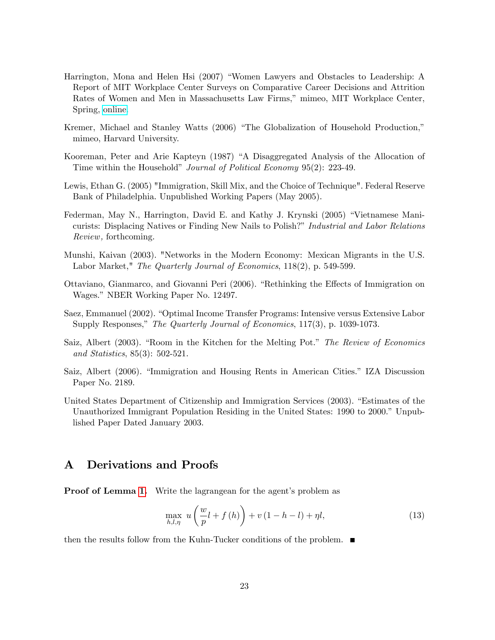- Harrington, Mona and Helen Hsi (2007) "Women Lawyers and Obstacles to Leadership: A Report of MIT Workplace Center Surveys on Comparative Career Decisions and Attrition Rates of Women and Men in Massachusetts Law Firms," mimeo, MIT Workplace Center, Spring, [online.](http://web.mit.edu/workplacecenter/docs/law-report_4-07.pdf)
- Kremer, Michael and Stanley Watts (2006) "The Globalization of Household Production," mimeo, Harvard University.
- Kooreman, Peter and Arie Kapteyn (1987) "A Disaggregated Analysis of the Allocation of Time within the Household" *Journal of Political Economy* 95(2): 223-49.
- Lewis, Ethan G. (2005) "Immigration, Skill Mix, and the Choice of Technique". Federal Reserve Bank of Philadelphia. Unpublished Working Papers (May 2005).
- Federman, May N., Harrington, David E. and Kathy J. Krynski (2005) "Vietnamese Manicurists: Displacing Natives or Finding New Nails to Polish?" Industrial and Labor Relations Review, forthcoming.
- <span id="page-23-1"></span>Munshi, Kaivan (2003). "Networks in the Modern Economy: Mexican Migrants in the U.S. Labor Market," The Quarterly Journal of Economics, 118(2), p. 549-599.
- <span id="page-23-0"></span>Ottaviano, Gianmarco, and Giovanni Peri (2006). "Rethinking the Effects of Immigration on Wages." NBER Working Paper No. 12497.
- Saez, Emmanuel (2002). "Optimal Income Transfer Programs: Intensive versus Extensive Labor Supply Responses," The Quarterly Journal of Economics, 117(3), p. 1039-1073.
- Saiz, Albert (2003). "Room in the Kitchen for the Melting Pot." The Review of Economics and Statistics, 85(3): 502-521.
- Saiz, Albert (2006). "Immigration and Housing Rents in American Cities." IZA Discussion Paper No. 2189.
- United States Department of Citizenship and Immigration Services (2003). "Estimates of the Unauthorized Immigrant Population Residing in the United States: 1990 to 2000.<sup>n</sup> Unpublished Paper Dated January 2003.

## A Derivations and Proofs

**Proof of Lemma [1.](#page-5-5)** Write the lagrangean for the agent's problem as

<span id="page-23-2"></span>
$$
\max_{h,l,\eta} u\left(\frac{w}{p}l+f\left(h\right)\right)+v\left(1-h-l\right)+\eta l,\tag{13}
$$

then the results follow from the Kuhn-Tucker conditions of the problem.  $\blacksquare$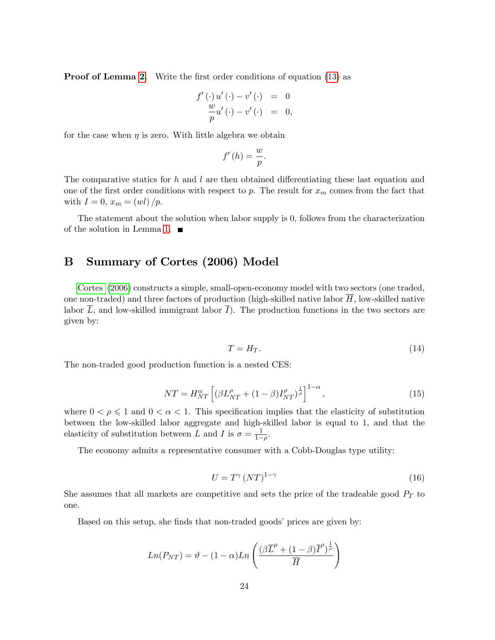**Proof of Lemma [2.](#page-6-1)** Write the first order conditions of equation [\(13\)](#page-23-2) as

$$
f'(\cdot) u'(\cdot) - v'(\cdot) = 0
$$
  

$$
\frac{w}{p} u'(\cdot) - v'(\cdot) = 0,
$$

for the case when  $\eta$  is zero. With little algebra we obtain

$$
f'(h) = \frac{w}{p}.
$$

The comparative statics for h and l are then obtained differentiating these last equation and one of the first order conditions with respect to p. The result for  $x_m$  comes from the fact that with  $I = 0$ ,  $x_m = (wl)/p$ .

The statement about the solution when labor supply is 0, follows from the characterization of the solution in Lemma [1.](#page-5-5)  $\blacksquare$ 

## B Summary of Cortes (2006) Model

[Cortes](#page-22-0) [\(2006\)](#page-22-0) constructs a simple, small-open-economy model with two sectors (one traded, one non-traded) and three factors of production (high-skilled native labor  $\overline{H}$ , low-skilled native labor  $\overline{L}$ , and low-skilled immigrant labor  $\overline{I}$ ). The production functions in the two sectors are given by:

$$
T = H_T. \tag{14}
$$

The non-traded good production function is a nested CES:

$$
NT = H_{NT}^{\alpha} \left[ \left( \beta L_{NT}^{\rho} + (1 - \beta) I_{NT}^{\rho} \right)^{\frac{1}{\rho}} \right]^{1 - \alpha}, \tag{15}
$$

where  $0 < \rho \leq 1$  and  $0 < \alpha < 1$ . This specification implies that the elasticity of substitution between the low-skilled labor aggregate and high-skilled labor is equal to 1, and that the elasticity of substitution between L and I is  $\sigma = \frac{1}{1-\sigma^2}$  $\frac{1}{1-\rho}$ .

The economy admits a representative consumer with a Cobb-Douglas type utility:

$$
U = T^{\gamma} (NT)^{1-\gamma} \tag{16}
$$

She assumes that all markets are competitive and sets the price of the tradeable good  $P_T$  to one.

Based on this setup, she finds that non-traded goods' prices are given by:

$$
Ln(P_{NT}) = \vartheta - (1 - \alpha)Ln\left(\frac{(\beta \overline{L}^{\rho} + (1 - \beta)\overline{I}^{\rho})^{\frac{1}{\rho}}}{\overline{H}}\right)
$$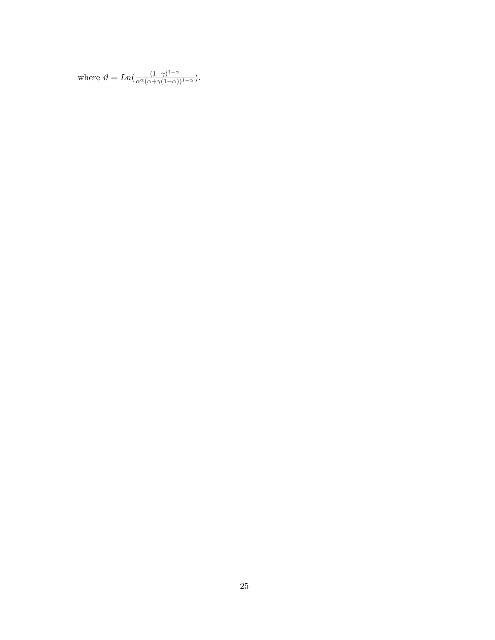where 
$$
\vartheta = Ln(\frac{(1-\gamma)^{1-\alpha}}{\alpha^{\alpha}(\alpha+\gamma(1-\alpha))^{1-\alpha}}).
$$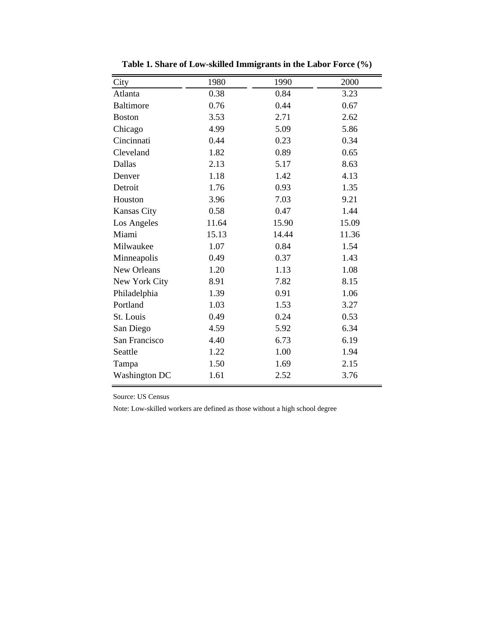| City                 | 1980  | 1990  | 2000  |
|----------------------|-------|-------|-------|
| Atlanta              | 0.38  | 0.84  | 3.23  |
| <b>Baltimore</b>     | 0.76  | 0.44  | 0.67  |
| <b>Boston</b>        | 3.53  | 2.71  | 2.62  |
| Chicago              | 4.99  | 5.09  | 5.86  |
| Cincinnati           | 0.44  | 0.23  | 0.34  |
| Cleveland            | 1.82  | 0.89  | 0.65  |
| Dallas               | 2.13  | 5.17  | 8.63  |
| Denver               | 1.18  | 1.42  | 4.13  |
| Detroit              | 1.76  | 0.93  | 1.35  |
| Houston              | 3.96  | 7.03  | 9.21  |
| <b>Kansas City</b>   | 0.58  | 0.47  | 1.44  |
| Los Angeles          | 11.64 | 15.90 | 15.09 |
| Miami                | 15.13 | 14.44 | 11.36 |
| Milwaukee            | 1.07  | 0.84  | 1.54  |
| Minneapolis          | 0.49  | 0.37  | 1.43  |
| New Orleans          | 1.20  | 1.13  | 1.08  |
| New York City        | 8.91  | 7.82  | 8.15  |
| Philadelphia         | 1.39  | 0.91  | 1.06  |
| Portland             | 1.03  | 1.53  | 3.27  |
| St. Louis            | 0.49  | 0.24  | 0.53  |
| San Diego            | 4.59  | 5.92  | 6.34  |
| San Francisco        | 4.40  | 6.73  | 6.19  |
| Seattle              | 1.22  | 1.00  | 1.94  |
| Tampa                | 1.50  | 1.69  | 2.15  |
| <b>Washington DC</b> | 1.61  | 2.52  | 3.76  |

**Table 1. Share of Low-skilled Immigrants in the Labor Force (%)**

Source: US Census

Note: Low-skilled workers are defined as those without a high school degree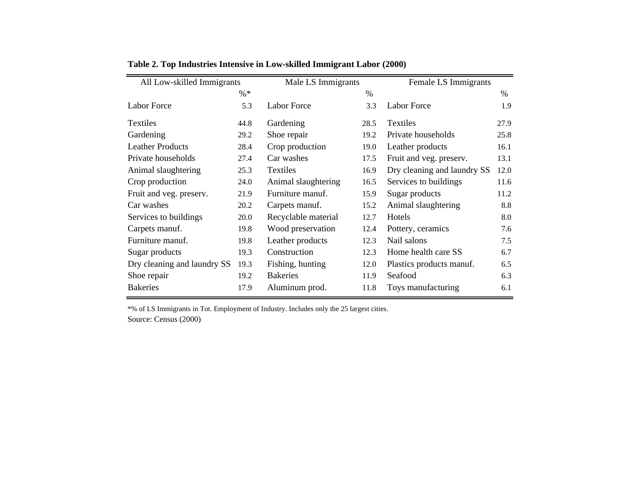| All Low-skilled Immigrants  |        | Male LS Immigrants  |      | Female LS Immigrants        |      |
|-----------------------------|--------|---------------------|------|-----------------------------|------|
|                             | $\% *$ |                     | $\%$ |                             | $\%$ |
| <b>Labor Force</b>          | 5.3    | <b>Labor Force</b>  | 3.3  | <b>Labor Force</b>          | 1.9  |
| Textiles                    | 44.8   | Gardening           | 28.5 | <b>Textiles</b>             | 27.9 |
| Gardening                   | 29.2   | Shoe repair         | 19.2 | Private households          | 25.8 |
| <b>Leather Products</b>     | 28.4   | Crop production     | 19.0 | Leather products            | 16.1 |
| Private households          | 27.4   | Car washes          | 17.5 | Fruit and veg. preserv.     | 13.1 |
| Animal slaughtering         | 25.3   | Textiles            | 16.9 | Dry cleaning and laundry SS | 12.0 |
| Crop production             | 24.0   | Animal slaughtering | 16.5 | Services to buildings       | 11.6 |
| Fruit and veg. preserv.     | 21.9   | Furniture manuf.    | 15.9 | Sugar products              | 11.2 |
| Car washes                  | 20.2   | Carpets manuf.      | 15.2 | Animal slaughtering         | 8.8  |
| Services to buildings       | 20.0   | Recyclable material | 12.7 | Hotels                      | 8.0  |
| Carpets manuf.              | 19.8   | Wood preservation   | 12.4 | Pottery, ceramics           | 7.6  |
| Furniture manuf.            | 19.8   | Leather products    | 12.3 | Nail salons                 | 7.5  |
| Sugar products              | 19.3   | Construction        | 12.3 | Home health care SS         | 6.7  |
| Dry cleaning and laundry SS | 19.3   | Fishing, hunting    | 12.0 | Plastics products manuf.    | 6.5  |
| Shoe repair                 | 19.2   | <b>Bakeries</b>     | 11.9 | Seafood                     | 6.3  |
| <b>Bakeries</b>             | 17.9   | Aluminum prod.      | 11.8 | Toys manufacturing          | 6.1  |

**Table 2. Top Industries Intensive in Low-skilled Immigrant Labor (2000)**

\*% of LS Immigrants in Tot. Employment of Industry. Includes only the 25 largest cities. Source: Census (2000)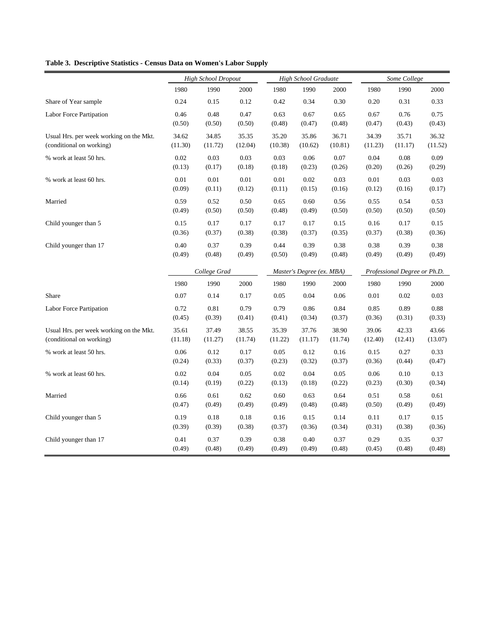#### **Table 3. Descriptive Statistics - Census Data on Women's Labor Supply**

|                                         | <b>High School Dropout</b> |              |          | High School Graduate |                           |         | Some College                 |          |            |
|-----------------------------------------|----------------------------|--------------|----------|----------------------|---------------------------|---------|------------------------------|----------|------------|
|                                         | 1980                       | 1990         | 2000     | 1980                 | 1990                      | 2000    | 1980                         | 1990     | 2000       |
| Share of Year sample                    | 0.24                       | 0.15         | 0.12     | 0.42                 | 0.34                      | 0.30    | 0.20                         | 0.31     | 0.33       |
| Labor Force Partipation                 | 0.46                       | 0.48         | 0.47     | 0.63                 | 0.67                      | 0.65    | 0.67                         | 0.76     | 0.75       |
|                                         | (0.50)                     | (0.50)       | (0.50)   | (0.48)               | (0.47)                    | (0.48)  | (0.47)                       | (0.43)   | (0.43)     |
| Usual Hrs. per week working on the Mkt. | 34.62                      | 34.85        | 35.35    | 35.20                | 35.86                     | 36.71   | 34.39                        | 35.71    | 36.32      |
| (conditional on working)                | (11.30)                    | (11.72)      | (12.04)  | (10.38)              | (10.62)                   | (10.81) | (11.23)                      | (11.17)  | (11.52)    |
| % work at least 50 hrs.                 | 0.02                       | 0.03         | 0.03     | 0.03                 | 0.06                      | 0.07    | 0.04                         | 0.08     | 0.09       |
|                                         | (0.13)                     | (0.17)       | (0.18)   | (0.18)               | (0.23)                    | (0.26)  | (0.20)                       | (0.26)   | (0.29)     |
| % work at least 60 hrs.                 | $0.01\,$                   | $0.01\,$     | $0.01\,$ | $0.01\,$             | 0.02                      | 0.03    | 0.01                         | 0.03     | 0.03       |
|                                         | (0.09)                     | (0.11)       | (0.12)   | (0.11)               | (0.15)                    | (0.16)  | (0.12)                       | (0.16)   | (0.17)     |
| Married                                 | 0.59                       | 0.52         | 0.50     | 0.65                 | 0.60                      | 0.56    | 0.55                         | 0.54     | 0.53       |
|                                         | (0.49)                     | (0.50)       | (0.50)   | (0.48)               | (0.49)                    | (0.50)  | (0.50)                       | (0.50)   | (0.50)     |
| Child younger than 5                    | 0.15                       | 0.17         | 0.17     | 0.17                 | 0.17                      | 0.15    | 0.16                         | 0.17     | 0.15       |
|                                         | (0.36)                     | (0.37)       | (0.38)   | (0.38)               | (0.37)                    | (0.35)  | (0.37)                       | (0.38)   | (0.36)     |
| Child younger than 17                   | 0.40                       | 0.37         | 0.39     | 0.44                 | 0.39                      | 0.38    | 0.38                         | 0.39     | 0.38       |
|                                         | (0.49)                     | (0.48)       | (0.49)   | (0.50)               | (0.49)                    | (0.48)  | (0.49)                       | (0.49)   | (0.49)     |
|                                         |                            | College Grad |          |                      | Master's Degree (ex. MBA) |         | Professional Degree or Ph.D. |          |            |
|                                         | 1980                       | 1990         | 2000     | 1980                 | 1990                      | 2000    | 1980                         | 1990     | 2000       |
| Share                                   | 0.07                       | 0.14         | 0.17     | 0.05                 | 0.04                      | 0.06    | $0.01\,$                     | 0.02     | 0.03       |
| Labor Force Partipation                 | 0.72                       | 0.81         | 0.79     | 0.79                 | 0.86                      | 0.84    | 0.85                         | 0.89     | $\rm 0.88$ |
|                                         | (0.45)                     | (0.39)       | (0.41)   | (0.41)               | (0.34)                    | (0.37)  | (0.36)                       | (0.31)   | (0.33)     |
| Usual Hrs. per week working on the Mkt. | 35.61                      | 37.49        | 38.55    | 35.39                | 37.76                     | 38.90   | 39.06                        | 42.33    | 43.66      |
| (conditional on working)                | (11.18)                    | (11.27)      | (11.74)  | (11.22)              | (11.17)                   | (11.74) | (12.40)                      | (12.41)  | (13.07)    |
| % work at least 50 hrs.                 | 0.06                       | 0.12         | 0.17     | 0.05                 | 0.12                      | 0.16    | 0.15                         | 0.27     | 0.33       |
|                                         | (0.24)                     | (0.33)       | (0.37)   | (0.23)               | (0.32)                    | (0.37)  | (0.36)                       | (0.44)   | (0.47)     |
| % work at least 60 hrs.                 | 0.02                       | 0.04         | 0.05     | 0.02                 | 0.04                      | 0.05    | 0.06                         | $0.10\,$ | 0.13       |
|                                         | (0.14)                     | (0.19)       | (0.22)   | (0.13)               | (0.18)                    | (0.22)  | (0.23)                       | (0.30)   | (0.34)     |
| Married                                 | 0.66                       | 0.61         | 0.62     | 0.60                 | 0.63                      | 0.64    | 0.51                         | 0.58     | 0.61       |
|                                         | (0.47)                     | (0.49)       | (0.49)   | (0.49)               | (0.48)                    | (0.48)  | (0.50)                       | (0.49)   | (0.49)     |
| Child younger than 5                    | 0.19                       | 0.18         | 0.18     | $0.16\,$             | 0.15                      | 0.14    | 0.11                         | 0.17     | 0.15       |
|                                         | (0.39)                     | (0.39)       | (0.38)   | (0.37)               | (0.36)                    | (0.34)  | (0.31)                       | (0.38)   | (0.36)     |
| Child younger than 17                   | 0.41                       | 0.37         | 0.39     | 0.38                 | 0.40                      | 0.37    | 0.29                         | 0.35     | 0.37       |
|                                         | (0.49)                     | (0.48)       | (0.49)   | (0.49)               | (0.49)                    | (0.48)  | (0.45)                       | (0.48)   | (0.48)     |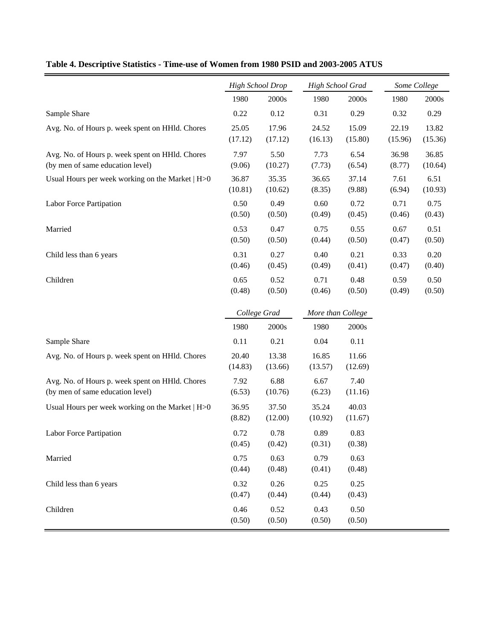|                                                  | <b>High School Drop</b> |                  |                   | High School Grad |                | Some College    |  |
|--------------------------------------------------|-------------------------|------------------|-------------------|------------------|----------------|-----------------|--|
|                                                  | 1980                    | 2000s            | 1980              | 2000s            | 1980           | 2000s           |  |
| Sample Share                                     | 0.22                    | 0.12             | 0.31              | 0.29             | 0.32           | 0.29            |  |
| Avg. No. of Hours p. week spent on HHId. Chores  | 25.05                   | 17.96            | 24.52             | 15.09            | 22.19          | 13.82           |  |
|                                                  | (17.12)                 | (17.12)          | (16.13)           | (15.80)          | (15.96)        | (15.36)         |  |
| Avg. No. of Hours p. week spent on HHId. Chores  | 7.97                    | 5.50             | 7.73              | 6.54             | 36.98          | 36.85           |  |
| (by men of same education level)                 | (9.06)                  | (10.27)          | (7.73)            | (6.54)           | (8.77)         | (10.64)         |  |
| Usual Hours per week working on the Market   H>0 | 36.87<br>(10.81)        | 35.35<br>(10.62) | 36.65<br>(8.35)   | 37.14<br>(9.88)  | 7.61<br>(6.94) | 6.51<br>(10.93) |  |
| Labor Force Partipation                          | 0.50                    | 0.49             | 0.60              | 0.72             | 0.71           | 0.75            |  |
|                                                  | (0.50)                  | (0.50)           | (0.49)            | (0.45)           | (0.46)         | (0.43)          |  |
| Married                                          | 0.53                    | 0.47             | 0.75              | 0.55             | 0.67           | 0.51            |  |
|                                                  | (0.50)                  | (0.50)           | (0.44)            | (0.50)           | (0.47)         | (0.50)          |  |
| Child less than 6 years                          | 0.31                    | 0.27             | 0.40              | 0.21             | 0.33           | 0.20            |  |
|                                                  | (0.46)                  | (0.45)           | (0.49)            | (0.41)           | (0.47)         | (0.40)          |  |
| Children                                         | 0.65<br>(0.48)          | 0.52<br>(0.50)   | 0.71<br>(0.46)    | 0.48<br>(0.50)   | 0.59<br>(0.49) | 0.50<br>(0.50)  |  |
|                                                  |                         |                  |                   |                  |                |                 |  |
|                                                  | College Grad            |                  | More than College |                  |                |                 |  |
|                                                  | 1980                    | 2000s            | 1980              | 2000s            |                |                 |  |
| Sample Share                                     | 0.11                    | 0.21             | 0.04              | 0.11             |                |                 |  |
| Avg. No. of Hours p. week spent on HHId. Chores  | 20.40                   | 13.38            | 16.85             | 11.66            |                |                 |  |
|                                                  | (14.83)                 | (13.66)          | (13.57)           | (12.69)          |                |                 |  |
| Avg. No. of Hours p. week spent on HHId. Chores  | 7.92                    | 6.88             | 6.67              | 7.40             |                |                 |  |
| (by men of same education level)                 | (6.53)                  | (10.76)          | (6.23)            | (11.16)          |                |                 |  |
| Usual Hours per week working on the Market   H>0 | 36.95                   | 37.50            | 35.24             | 40.03            |                |                 |  |
|                                                  | (8.82)                  | (12.00)          | (10.92)           | (11.67)          |                |                 |  |
| Labor Force Partipation                          | 0.72                    | 0.78             | 0.89              | 0.83             |                |                 |  |
|                                                  | (0.45)                  | (0.42)           | (0.31)            | (0.38)           |                |                 |  |
| Married                                          | 0.75<br>(0.44)          | 0.63<br>(0.48)   | 0.79<br>(0.41)    | 0.63<br>(0.48)   |                |                 |  |
| Child less than 6 years                          | 0.32                    | 0.26             | 0.25              | 0.25             |                |                 |  |
|                                                  | (0.47)                  | (0.44)           | (0.44)            | (0.43)           |                |                 |  |
| Children                                         | 0.46                    | 0.52             | 0.43              | 0.50             |                |                 |  |
|                                                  | (0.50)                  | (0.50)           | (0.50)            | (0.50)           |                |                 |  |

## **Table 4. Descriptive Statistics - Time-use of Women from 1980 PSID and 2003-2005 ATUS**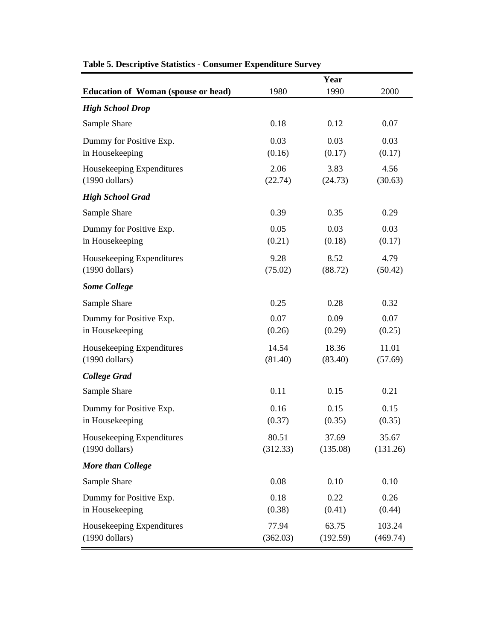|                                               |                   | Year              |                    |
|-----------------------------------------------|-------------------|-------------------|--------------------|
| <b>Education of Woman (spouse or head)</b>    | 1980              | 1990              | 2000               |
| <b>High School Drop</b>                       |                   |                   |                    |
| Sample Share                                  | 0.18              | 0.12              | 0.07               |
| Dummy for Positive Exp.<br>in Housekeeping    | 0.03<br>(0.16)    | 0.03<br>(0.17)    | 0.03<br>(0.17)     |
| Housekeeping Expenditures<br>$(1990$ dollars) | 2.06<br>(22.74)   | 3.83<br>(24.73)   | 4.56<br>(30.63)    |
| <b>High School Grad</b>                       |                   |                   |                    |
| Sample Share                                  | 0.39              | 0.35              | 0.29               |
| Dummy for Positive Exp.<br>in Housekeeping    | 0.05<br>(0.21)    | 0.03<br>(0.18)    | 0.03<br>(0.17)     |
| Housekeeping Expenditures<br>$(1990$ dollars) | 9.28<br>(75.02)   | 8.52<br>(88.72)   | 4.79<br>(50.42)    |
| <b>Some College</b>                           |                   |                   |                    |
| Sample Share                                  | 0.25              | 0.28              | 0.32               |
| Dummy for Positive Exp.<br>in Housekeeping    | 0.07<br>(0.26)    | 0.09<br>(0.29)    | 0.07<br>(0.25)     |
| Housekeeping Expenditures<br>$(1990$ dollars) | 14.54<br>(81.40)  | 18.36<br>(83.40)  | 11.01<br>(57.69)   |
| <b>College Grad</b>                           |                   |                   |                    |
| Sample Share                                  | 0.11              | 0.15              | 0.21               |
| Dummy for Positive Exp.<br>in Housekeeping    | 0.16<br>(0.37)    | 0.15<br>(0.35)    | 0.15<br>(0.35)     |
| Housekeeping Expenditures<br>$(1990$ dollars) | 80.51<br>(312.33) | 37.69<br>(135.08) | 35.67<br>(131.26)  |
| <b>More than College</b>                      |                   |                   |                    |
| Sample Share                                  | 0.08              | 0.10              | 0.10               |
| Dummy for Positive Exp.<br>in Housekeeping    | 0.18<br>(0.38)    | 0.22<br>(0.41)    | 0.26<br>(0.44)     |
| Housekeeping Expenditures<br>$(1990$ dollars) | 77.94<br>(362.03) | 63.75<br>(192.59) | 103.24<br>(469.74) |

## **Table 5. Descriptive Statistics - Consumer Expenditure Survey**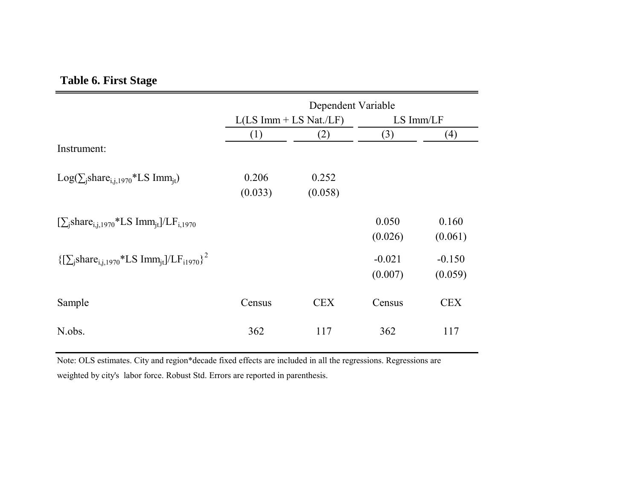## **Table 6. First Stage**

|                                                                                          | Dependent Variable |                          |                |            |  |  |
|------------------------------------------------------------------------------------------|--------------------|--------------------------|----------------|------------|--|--|
|                                                                                          |                    | $L(LS Imm + LS Nat./LF)$ | $LS \, Imm/LF$ |            |  |  |
|                                                                                          | (1)                | (2)                      | (3)            | (4)        |  |  |
| Instrument:                                                                              |                    |                          |                |            |  |  |
| $Log(\sum_{i} share_{i,i,1970}*LSImm_{it})$                                              | 0.206              | 0.252                    |                |            |  |  |
|                                                                                          | (0.033)            | (0.058)                  |                |            |  |  |
| $[\sum_{i} share_{i,i,1970}*LS Imm_{it}]/LF_{i,1970}$                                    |                    |                          | 0.050          | 0.160      |  |  |
|                                                                                          |                    |                          | (0.026)        | (0.061)    |  |  |
| ${\sum_{i} share_{i,i,1970}}$ *LS Imm <sub>it</sub> ]/LF <sub>i1970</sub> } <sup>2</sup> |                    |                          | $-0.021$       | $-0.150$   |  |  |
|                                                                                          |                    |                          | (0.007)        | (0.059)    |  |  |
| Sample                                                                                   | Census             | <b>CEX</b>               | Census         | <b>CEX</b> |  |  |
| N.obs.                                                                                   | 362                | 117                      | 362            | 117        |  |  |

Note: OLS estimates. City and region\*decade fixed effects are included in all the regressions. Regressions are weighted by city's labor force. Robust Std. Errors are reported in parenthesis.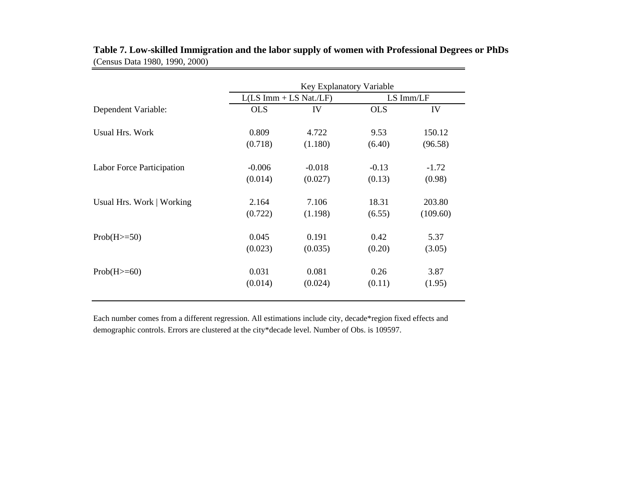| Key Explanatory Variable |          |                          |           |  |  |
|--------------------------|----------|--------------------------|-----------|--|--|
|                          |          |                          | LS Imm/LF |  |  |
| <b>OLS</b>               | IV       | <b>OLS</b>               | IV        |  |  |
| 0.809                    | 4.722    | 9.53                     | 150.12    |  |  |
| (0.718)                  | (1.180)  | (6.40)                   | (96.58)   |  |  |
| $-0.006$                 | $-0.018$ | $-0.13$                  | $-1.72$   |  |  |
| (0.014)                  | (0.027)  | (0.13)                   | (0.98)    |  |  |
| 2.164                    | 7.106    | 18.31                    | 203.80    |  |  |
| (0.722)                  | (1.198)  | (6.55)                   | (109.60)  |  |  |
| 0.045                    | 0.191    | 0.42                     | 5.37      |  |  |
| (0.023)                  | (0.035)  | (0.20)                   | (3.05)    |  |  |
| 0.031                    | 0.081    | 0.26                     | 3.87      |  |  |
| (0.014)                  | (0.024)  | (0.11)                   | (1.95)    |  |  |
|                          |          | $L(LS Imm + LS Nat./LF)$ |           |  |  |

**Table 7. Low-skilled Immigration and the labor supply of women with Professional Degrees or PhDs**  (Census Data 1980, 1990, 2000)

Each number comes from a different regression. All estimations include city, decade\*region fixed effects and demographic controls. Errors are clustered at the city\*decade level. Number of Obs. is 109597.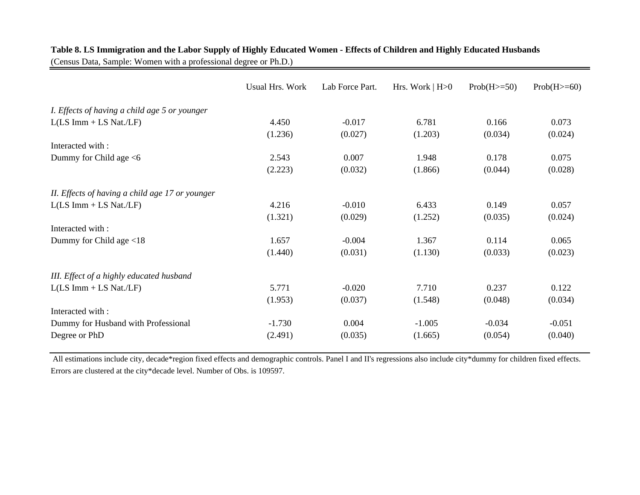|                                                 | <b>Usual Hrs. Work</b> | Lab Force Part. | Hrs. Work $ H>0$ | $Prob(H>=50)$ | $Prob(H>=60)$ |
|-------------------------------------------------|------------------------|-----------------|------------------|---------------|---------------|
| I. Effects of having a child age 5 or younger   |                        |                 |                  |               |               |
| $L(LS Imm + LS Nat./LF)$                        | 4.450                  | $-0.017$        | 6.781            | 0.166         | 0.073         |
|                                                 | (1.236)                | (0.027)         | (1.203)          | (0.034)       | (0.024)       |
| Interacted with:                                |                        |                 |                  |               |               |
| Dummy for Child age <6                          | 2.543                  | 0.007           | 1.948            | 0.178         | 0.075         |
|                                                 | (2.223)                | (0.032)         | (1.866)          | (0.044)       | (0.028)       |
| II. Effects of having a child age 17 or younger |                        |                 |                  |               |               |
| $L(LS Imm + LS Nat./LF)$                        | 4.216                  | $-0.010$        | 6.433            | 0.149         | 0.057         |
|                                                 | (1.321)                | (0.029)         | (1.252)          | (0.035)       | (0.024)       |
| Interacted with:                                |                        |                 |                  |               |               |
| Dummy for Child age $<$ 18                      | 1.657                  | $-0.004$        | 1.367            | 0.114         | 0.065         |
|                                                 | (1.440)                | (0.031)         | (1.130)          | (0.033)       | (0.023)       |
| III. Effect of a highly educated husband        |                        |                 |                  |               |               |
| $L(LS Imm + LS Nat./LF)$                        | 5.771                  | $-0.020$        | 7.710            | 0.237         | 0.122         |
|                                                 | (1.953)                | (0.037)         | (1.548)          | (0.048)       | (0.034)       |
| Interacted with:                                |                        |                 |                  |               |               |
| Dummy for Husband with Professional             | $-1.730$               | 0.004           | $-1.005$         | $-0.034$      | $-0.051$      |
| Degree or PhD                                   | (2.491)                | (0.035)         | (1.665)          | (0.054)       | (0.040)       |

## **Table 8. LS Immigration and the Labor Supply of Highly Educated Women - Effects of Children and Highly Educated Husbands**

(Census Data, Sample: Women with a professional degree or Ph.D.)

 All estimations include city, decade\*region fixed effects and demographic controls. Panel I and II's regressions also include city\*dummy for children fixed effects. Errors are clustered at the city\*decade level. Number of Obs. is 109597.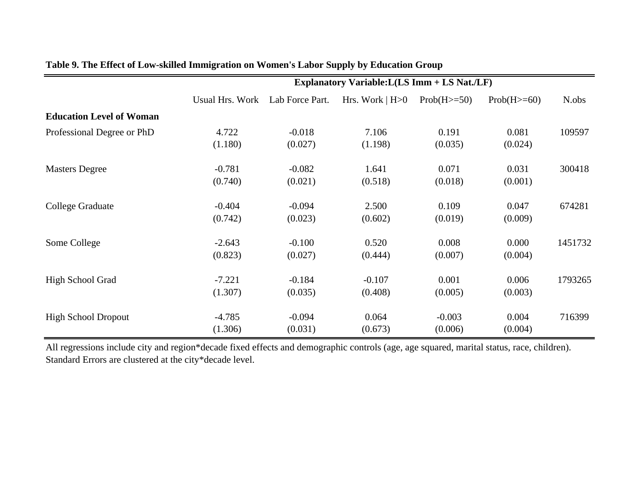|                                 | Explanatory Variable: L(LS Imm + LS Nat./LF) |                 |                  |               |               |         |
|---------------------------------|----------------------------------------------|-----------------|------------------|---------------|---------------|---------|
|                                 | <b>Usual Hrs. Work</b>                       | Lab Force Part. | Hrs. Work $ H>0$ | $Prob(H>=50)$ | $Prob(H>=60)$ | N.obs   |
| <b>Education Level of Woman</b> |                                              |                 |                  |               |               |         |
| Professional Degree or PhD      | 4.722                                        | $-0.018$        | 7.106            | 0.191         | 0.081         | 109597  |
|                                 | (1.180)                                      | (0.027)         | (1.198)          | (0.035)       | (0.024)       |         |
| <b>Masters Degree</b>           | $-0.781$                                     | $-0.082$        | 1.641            | 0.071         | 0.031         | 300418  |
|                                 | (0.740)                                      | (0.021)         | (0.518)          | (0.018)       | (0.001)       |         |
| College Graduate                | $-0.404$                                     | $-0.094$        | 2.500            | 0.109         | 0.047         | 674281  |
|                                 | (0.742)                                      | (0.023)         | (0.602)          | (0.019)       | (0.009)       |         |
| Some College                    | $-2.643$                                     | $-0.100$        | 0.520            | 0.008         | 0.000         | 1451732 |
|                                 | (0.823)                                      | (0.027)         | (0.444)          | (0.007)       | (0.004)       |         |
| High School Grad                | $-7.221$                                     | $-0.184$        | $-0.107$         | 0.001         | 0.006         | 1793265 |
|                                 | (1.307)                                      | (0.035)         | (0.408)          | (0.005)       | (0.003)       |         |
| <b>High School Dropout</b>      | $-4.785$                                     | $-0.094$        | 0.064            | $-0.003$      | 0.004         | 716399  |
|                                 | (1.306)                                      | (0.031)         | (0.673)          | (0.006)       | (0.004)       |         |

## **Table 9. The Effect of Low-skilled Immigration on Women's Labor Supply by Education Group**

All regressions include city and region\*decade fixed effects and demographic controls (age, age squared, marital status, race, children). Standard Errors are clustered at the city\*decade level.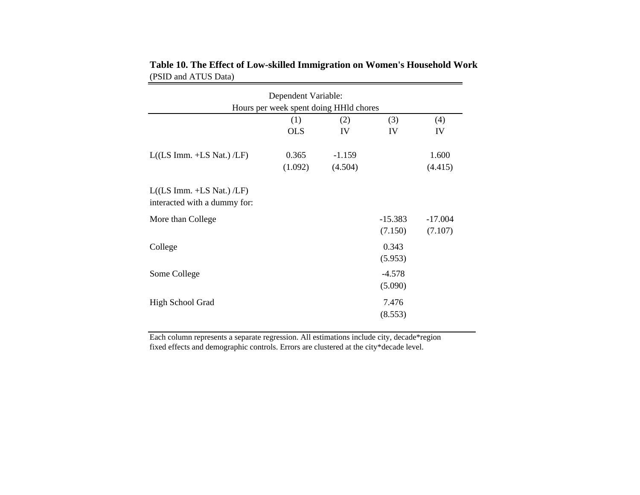| Dependent Variable:                                         |                   |           |                      |                      |  |  |  |  |
|-------------------------------------------------------------|-------------------|-----------|----------------------|----------------------|--|--|--|--|
| Hours per week spent doing HHId chores                      |                   |           |                      |                      |  |  |  |  |
|                                                             | (1)<br><b>OLS</b> | (2)<br>IV | (3)<br>IV            | (4)<br>IV            |  |  |  |  |
|                                                             |                   |           |                      |                      |  |  |  |  |
| $L((LS Imm.+LS Nat.)/LF)$                                   | 0.365             | $-1.159$  |                      | 1.600                |  |  |  |  |
|                                                             | (1.092)           | (4.504)   |                      | (4.415)              |  |  |  |  |
| $L((LS Imm. +LS Nat.) /LF)$<br>interacted with a dummy for: |                   |           |                      |                      |  |  |  |  |
| More than College                                           |                   |           | $-15.383$<br>(7.150) | $-17.004$<br>(7.107) |  |  |  |  |
| College                                                     |                   |           | 0.343<br>(5.953)     |                      |  |  |  |  |
| Some College                                                |                   |           | $-4.578$<br>(5.090)  |                      |  |  |  |  |
| High School Grad                                            |                   |           | 7.476<br>(8.553)     |                      |  |  |  |  |

**Table 10. The Effect of Low-skilled Immigration on Women's Household Work** (PSID and ATUS Data)

Each column represents a separate regression. All estimations include city, decade\*region fixed effects and demographic controls. Errors are clustered at the city\*decade level.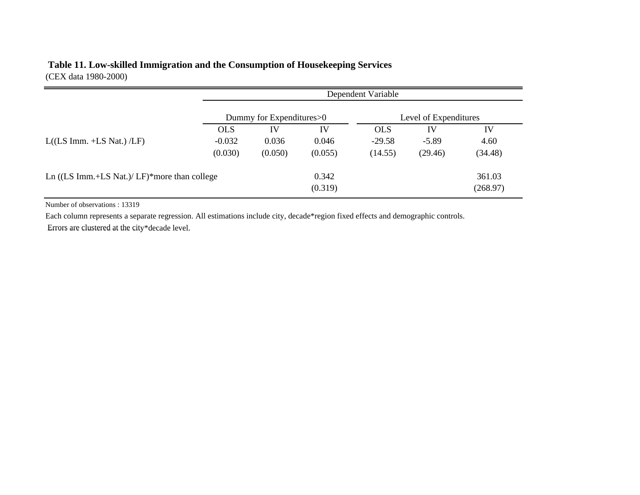## **Table 11. Low-skilled Immigration and the Consumption of Housekeeping Services** (CEX data 1980-2000)

|                                                          |            | Dependent Variable         |                  |            |                       |                    |  |
|----------------------------------------------------------|------------|----------------------------|------------------|------------|-----------------------|--------------------|--|
|                                                          |            | Dummy for Expenditures > 0 |                  |            | Level of Expenditures |                    |  |
|                                                          | <b>OLS</b> | IV                         | IV               | <b>OLS</b> | IV                    | IV                 |  |
| $L($ (LS Imm. +LS Nat.) $/LF$ )                          | $-0.032$   | 0.036                      | 0.046            | $-29.58$   | $-5.89$               | 4.60               |  |
|                                                          | (0.030)    | (0.050)                    | (0.055)          | (14.55)    | (29.46)               | (34.48)            |  |
| Ln $((LS \, Imm.+LS \, Nat.)/ \, LF)*$ more than college |            |                            | 0.342<br>(0.319) |            |                       | 361.03<br>(268.97) |  |

Number of observations : 13319

Each column represents a separate regression. All estimations include city, decade\*region fixed effects and demographic controls.

Errors are clustered at the city\*decade level.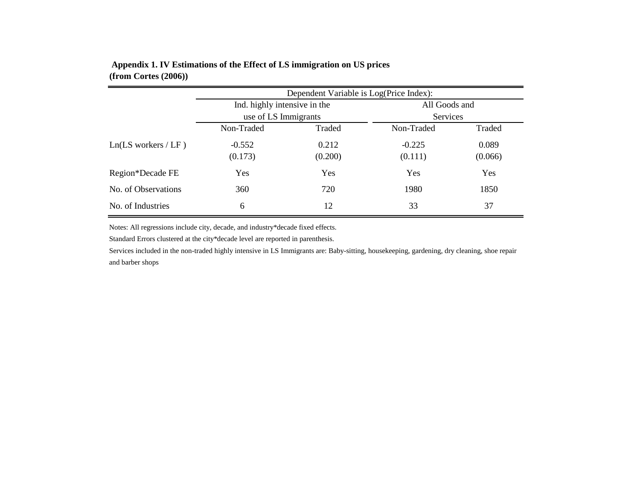|                           | Dependent Variable is Log(Price Index): |         |               |            |  |  |  |
|---------------------------|-----------------------------------------|---------|---------------|------------|--|--|--|
|                           | Ind. highly intensive in the            |         | All Goods and |            |  |  |  |
|                           | use of LS Immigrants                    |         | Services      |            |  |  |  |
|                           | Non-Traded                              | Traded  | Non-Traded    | Traded     |  |  |  |
| $Ln(LS)$ workers / $LF$ ) | $-0.552$                                | 0.212   | $-0.225$      | 0.089      |  |  |  |
|                           | (0.173)                                 | (0.200) | (0.111)       | (0.066)    |  |  |  |
| Region*Decade FE          | Yes                                     | Yes     | Yes           | <b>Yes</b> |  |  |  |
| No. of Observations       | 360                                     | 720     | 1980          | 1850       |  |  |  |
| No. of Industries         | 6                                       | 12      | 33            | 37         |  |  |  |

## **Appendix 1. IV Estimations of the Effect of LS immigration on US prices (from Cortes (2006))**

Notes: All regressions include city, decade, and industry\*decade fixed effects.

Standard Errors clustered at the city\*decade level are reported in parenthesis.

Services included in the non-traded highly intensive in LS Immigrants are: Baby-sitting, housekeeping, gardening, dry cleaning, shoe repair and barber shops